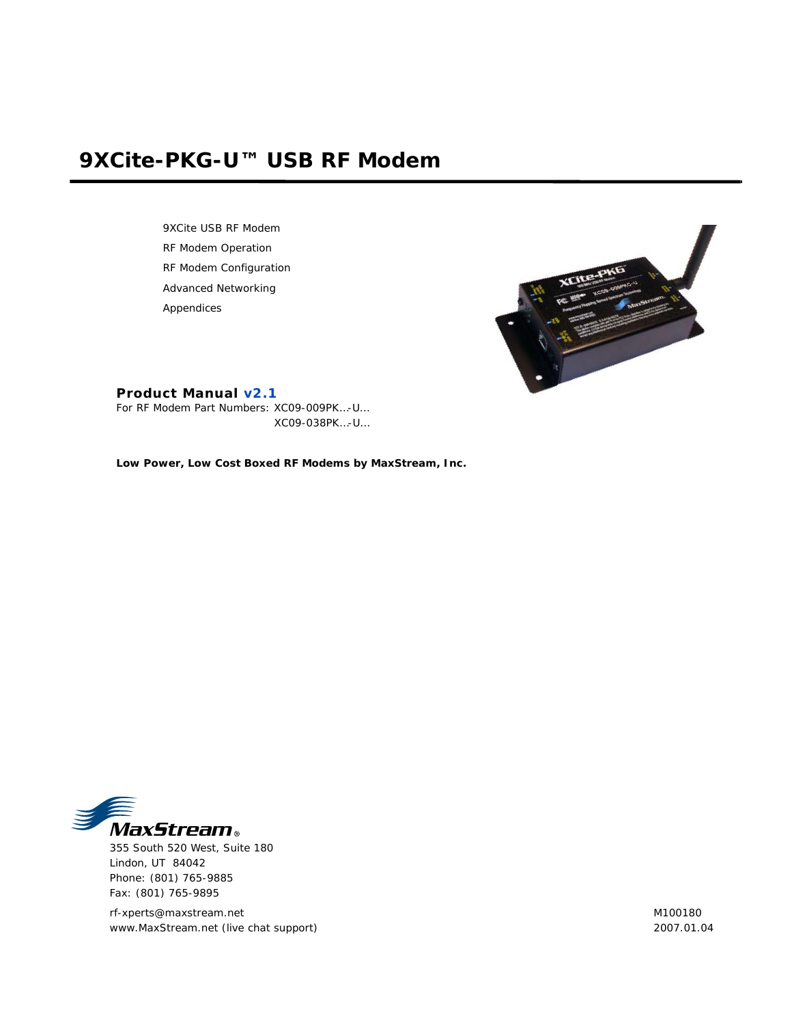# **9XCite-PKG-U™ USB RF Modem**

9XCite USB RF Modem RF Modem Operation RF Modem Configuration Advanced Networking Appendices



## **Product Manual v2.1**

For RF Modem Part Numbers: XC09-009PK…-U… XC09-038PK…-U…

**Low Power, Low Cost Boxed RF Modems by MaxStream, Inc.**



355 South 520 West, Suite 180 Lindon, UT 84042 Phone: (801) 765-9885 Fax: (801) 765-9895

rf-xperts@maxstream.net www.MaxStream.net (live chat support) M100180 2007.01.04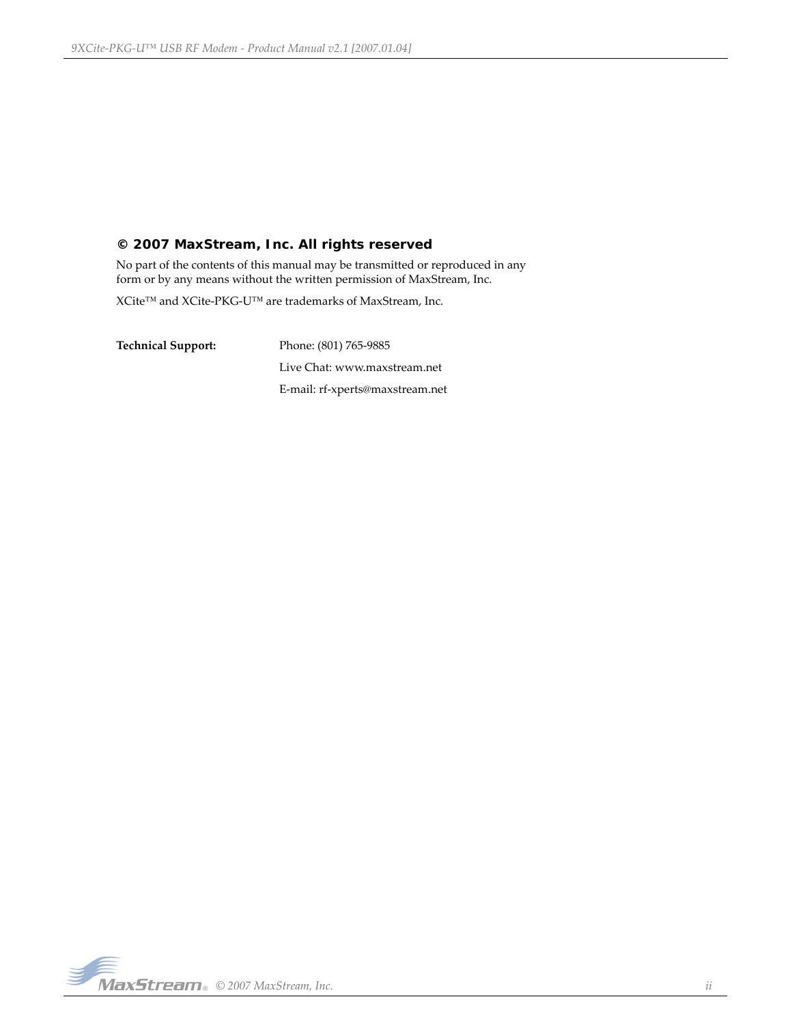## **© 2007 MaxStream, Inc. All rights reserved**

No part of the contents of this manual may be transmitted or reproduced in any form or by any means without the written permission of MaxStream, Inc.

XCite™ and XCite‐PKG‐U™ are trademarks of MaxStream, Inc.

**Technical Support:** Phone: (801) 765‐9885 Live Chat: www.maxstream.net E‐mail: rf‐xperts@maxstream.net

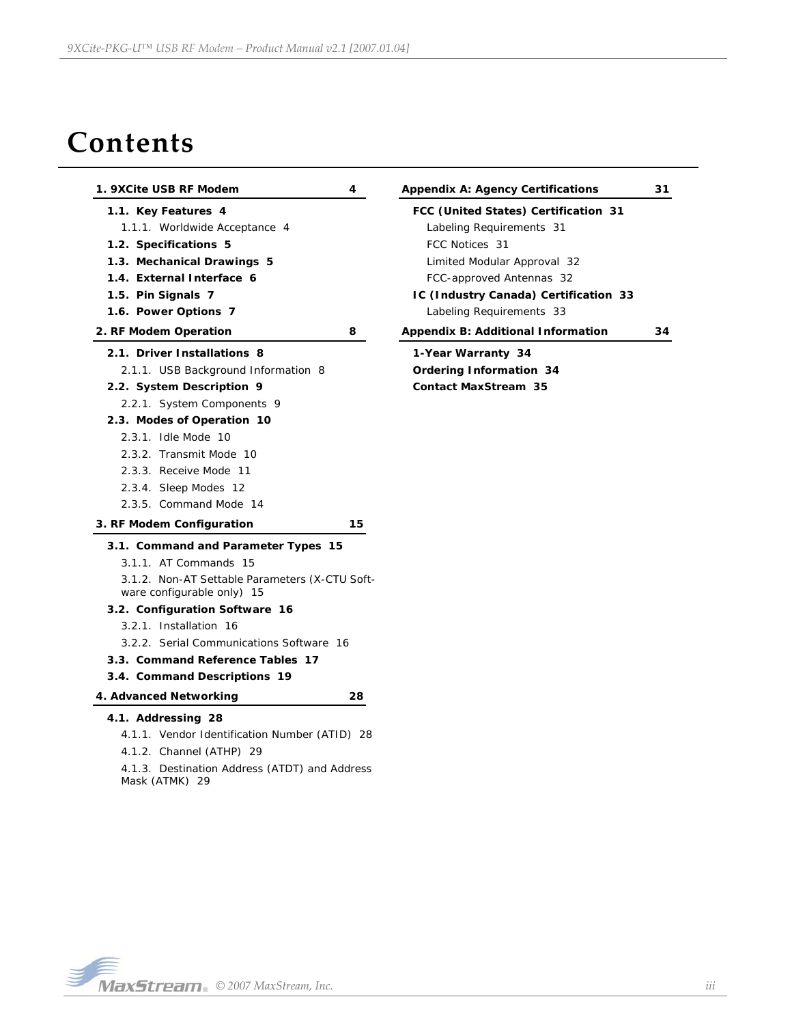# **Contents**

| 1. 9XCite USB RF Modem                                                                                                                                                                                                                                                                                                                             | 4  | <b>Appendix A: Agency Certifications</b>                                                                                                                                                                                                                        | 31 |
|----------------------------------------------------------------------------------------------------------------------------------------------------------------------------------------------------------------------------------------------------------------------------------------------------------------------------------------------------|----|-----------------------------------------------------------------------------------------------------------------------------------------------------------------------------------------------------------------------------------------------------------------|----|
| 1.1. Key Features 4<br>1.1.1. Worldwide Acceptance 4<br>1.2. Specifications 5<br>1.3. Mechanical Drawings 5<br>1.4. External Interface 6<br>1.5. Pin Signals 7<br>1.6. Power Options 7<br>2. RF Modem Operation                                                                                                                                    | 8  | FCC (United States) Certification 31<br>Labeling Requirements 31<br>FCC Notices 31<br>Limited Modular Approval 32<br>FCC-approved Antennas 32<br>IC (Industry Canada) Certification 33<br>Labeling Requirements 33<br><b>Appendix B: Additional Information</b> | 34 |
| 2.1. Driver Installations 8<br>2.1.1. USB Background Information 8<br>2.2. System Description 9<br>2.2.1. System Components 9<br>2.3. Modes of Operation 10<br>2.3.1. Idle Mode 10<br>2.3.2. Transmit Mode 10<br>2.3.3. Receive Mode 11<br>2.3.4. Sleep Modes 12<br>2.3.5. Command Mode 14                                                         |    | 1-Year Warranty 34<br><b>Ordering Information 34</b><br><b>Contact MaxStream 35</b>                                                                                                                                                                             |    |
| 3. RF Modem Configuration                                                                                                                                                                                                                                                                                                                          | 15 |                                                                                                                                                                                                                                                                 |    |
| 3.1. Command and Parameter Types 15<br>3.1.1. AT Commands 15<br>3.1.2. Non-AT Settable Parameters (X-CTU Soft-<br>ware configurable only) 15<br>3.2. Configuration Software 16<br>3.2.1. Installation 16<br>3.2.2. Serial Communications Software 16<br>3.3. Command Reference Tables 17<br>3.4. Command Descriptions 19<br>4. Advanced Networking | 28 |                                                                                                                                                                                                                                                                 |    |
|                                                                                                                                                                                                                                                                                                                                                    |    |                                                                                                                                                                                                                                                                 |    |
| 4.1. Addressing 28<br>4.1.1. Vendor Identification Number (ATID) 28<br>4.1.2. Channel (ATHP) 29<br>4.1.3. Destination Address (ATDT) and Address<br>Mask (ATMK) 29                                                                                                                                                                                 |    |                                                                                                                                                                                                                                                                 |    |

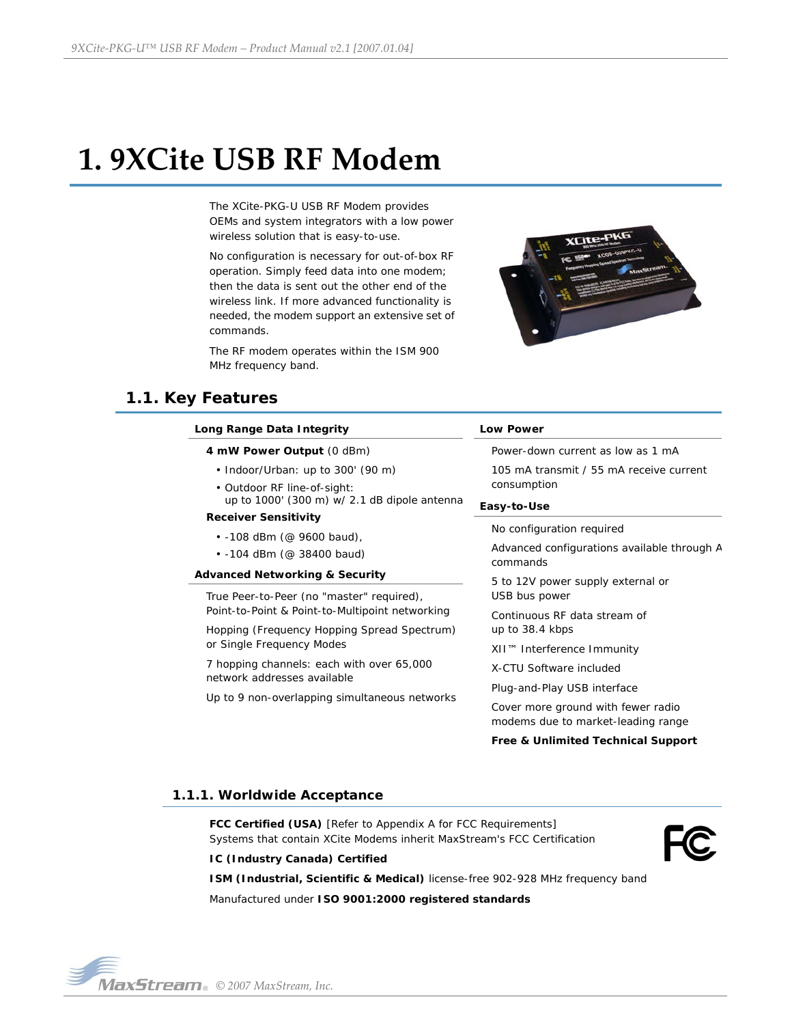# <span id="page-3-0"></span>**1. 9XCite USB RF Modem**

The XCite-PKG-U USB RF Modem provides OEMs and system integrators with a low power wireless solution that is easy-to-use.

No configuration is necessary for out-of-box RF operation. Simply feed data into one modem; then the data is sent out the other end of the wireless link. If more advanced functionality is needed, the modem support an extensive set of commands.

The RF modem operates within the ISM 900 MHz frequency band.



# <span id="page-3-1"></span>**1.1. Key Features**

| Long Range Data Integrity                                                   | <b>Low Power</b>                                                         |  |
|-----------------------------------------------------------------------------|--------------------------------------------------------------------------|--|
| 4 mW Power Output (0 dBm)                                                   | Power-down current as low as 1 mA                                        |  |
| • Indoor/Urban: up to 300' (90 m)                                           | 105 mA transmit / 55 mA receive current                                  |  |
| • Outdoor RF line-of-sight:<br>up to 1000' (300 m) w/ 2.1 dB dipole antenna | consumption                                                              |  |
| <b>Receiver Sensitivity</b>                                                 | Easy-to-Use                                                              |  |
| $\cdot$ -108 dBm (@ 9600 baud),                                             | No configuration required                                                |  |
| $\cdot$ -104 dBm (@ 38400 baud)                                             | Advanced configurations available through A<br>commands                  |  |
| <b>Advanced Networking &amp; Security</b>                                   | 5 to 12V power supply external or                                        |  |
| True Peer-to-Peer (no "master" required),                                   | USB bus power                                                            |  |
| Point-to-Point & Point-to-Multipoint networking                             | Continuous RF data stream of                                             |  |
| Hopping (Frequency Hopping Spread Spectrum)                                 | up to 38.4 kbps                                                          |  |
| or Single Frequency Modes                                                   | XII™ Interference Immunity                                               |  |
| 7 hopping channels: each with over 65,000                                   | X-CTU Software included                                                  |  |
| network addresses available                                                 | Plug-and-Play USB interface                                              |  |
| Up to 9 non-overlapping simultaneous networks                               | Cover more ground with fewer radio<br>modems due to market-leading range |  |

#### **Free & Unlimited Technical Support**

### <span id="page-3-2"></span>**1.1.1. Worldwide Acceptance**

**FCC Certified (USA)** [Refer to Appendix A for FCC Requirements] Systems that contain XCite Modems inherit MaxStream's FCC Certification

#### **IC (Industry Canada) Certified**

**ISM (Industrial, Scientific & Medical)** license-free 902-928 MHz frequency band Manufactured under **ISO 9001:2000 registered standards**

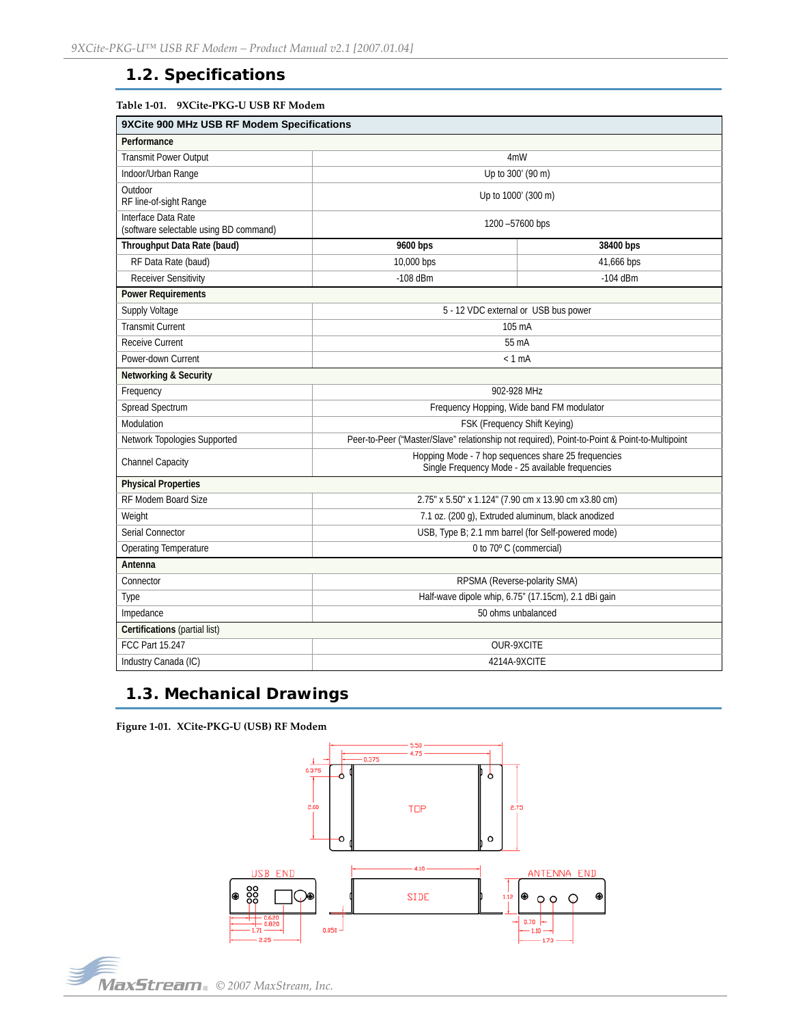# <span id="page-4-0"></span>**1.2. Specifications**

| Table 1-01. 9XCite-PKG-U USB RF Modem |  |
|---------------------------------------|--|
|---------------------------------------|--|

| 9XCite 900 MHz USB RF Modem Specifications                    |                                                                                                         |                                                      |  |
|---------------------------------------------------------------|---------------------------------------------------------------------------------------------------------|------------------------------------------------------|--|
| Performance                                                   |                                                                                                         |                                                      |  |
| <b>Transmit Power Output</b>                                  | 4mW                                                                                                     |                                                      |  |
| Indoor/Urban Range                                            |                                                                                                         | Up to 300' (90 m)                                    |  |
| Outdoor<br>RF line-of-sight Range                             |                                                                                                         | Up to 1000' (300 m)                                  |  |
| Interface Data Rate<br>(software selectable using BD command) |                                                                                                         | 1200 -57600 bps                                      |  |
| Throughput Data Rate (baud)                                   | 9600 bps                                                                                                | 38400 bps                                            |  |
| RF Data Rate (baud)                                           | 10,000 bps                                                                                              | 41,666 bps                                           |  |
| <b>Receiver Sensitivity</b>                                   | $-108$ dBm                                                                                              | $-104$ dBm                                           |  |
| <b>Power Requirements</b>                                     |                                                                                                         |                                                      |  |
| Supply Voltage                                                |                                                                                                         | 5 - 12 VDC external or USB bus power                 |  |
| <b>Transmit Current</b>                                       |                                                                                                         | 105 mA                                               |  |
| <b>Receive Current</b>                                        |                                                                                                         | 55 mA                                                |  |
| Power-down Current                                            |                                                                                                         | $< 1$ mA                                             |  |
| <b>Networking &amp; Security</b>                              |                                                                                                         |                                                      |  |
| Frequency                                                     | 902-928 MHz                                                                                             |                                                      |  |
| Spread Spectrum                                               | Frequency Hopping, Wide band FM modulator                                                               |                                                      |  |
| Modulation                                                    | FSK (Frequency Shift Keying)                                                                            |                                                      |  |
| Network Topologies Supported                                  | Peer-to-Peer ("Master/Slave" relationship not required), Point-to-Point & Point-to-Multipoint           |                                                      |  |
| Channel Capacity                                              | Hopping Mode - 7 hop sequences share 25 frequencies<br>Single Frequency Mode - 25 available frequencies |                                                      |  |
| <b>Physical Properties</b>                                    |                                                                                                         |                                                      |  |
| RF Modem Board Size                                           | 2.75" x 5.50" x 1.124" (7.90 cm x 13.90 cm x3.80 cm)                                                    |                                                      |  |
| Weight                                                        |                                                                                                         | 7.1 oz. (200 g), Extruded aluminum, black anodized   |  |
| Serial Connector                                              | USB, Type B; 2.1 mm barrel (for Self-powered mode)                                                      |                                                      |  |
| <b>Operating Temperature</b>                                  | 0 to 70° C (commercial)                                                                                 |                                                      |  |
| Antenna                                                       |                                                                                                         |                                                      |  |
| Connector                                                     | RPSMA (Reverse-polarity SMA)                                                                            |                                                      |  |
| Type                                                          |                                                                                                         | Half-wave dipole whip, 6.75" (17.15cm), 2.1 dBi gain |  |
| Impedance                                                     | 50 ohms unbalanced                                                                                      |                                                      |  |
| Certifications (partial list)                                 |                                                                                                         |                                                      |  |
| FCC Part 15.247                                               | <b>OUR-9XCITE</b>                                                                                       |                                                      |  |
| Industry Canada (IC)                                          | 4214A-9XCITE                                                                                            |                                                      |  |

# <span id="page-4-1"></span>**1.3. Mechanical Drawings**

**Figure 1‐01. XCite‐PKG‐U (USB) RF Modem**



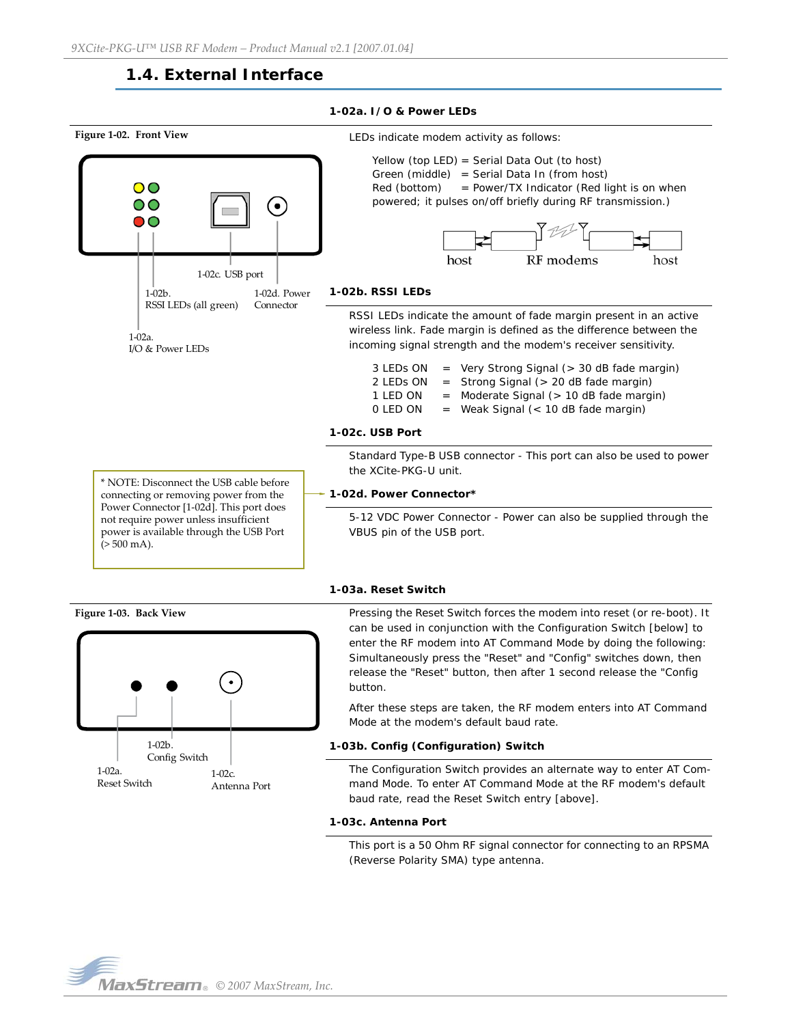# **1.4. External Interface**

#### **1-02a. I/O & Power LEDs**

<span id="page-5-0"></span>

#### **1-03a. Reset Switch**

 $(> 500$  mA).

**Figure 1‐03. Back View** Pressing the Reset Switch forces the modem into reset (or re-boot). It can be used in conjunction with the Configuration Switch [below] to enter the RF modem into AT Command Mode by doing the following: Simultaneously press the "Reset" and "Config" switches down, then release the "Reset" button, then after 1 second release the "Config button.

> After these steps are taken, the RF modem enters into AT Command Mode at the modem's default baud rate.

#### **1-03b. Config (Configuration) Switch**

The Configuration Switch provides an alternate way to enter AT Command Mode. To enter AT Command Mode at the RF modem's default baud rate, read the Reset Switch entry [above].

#### **1-03c. Antenna Port**

This port is a 50 Ohm RF signal connector for connecting to an RPSMA (Reverse Polarity SMA) type antenna.

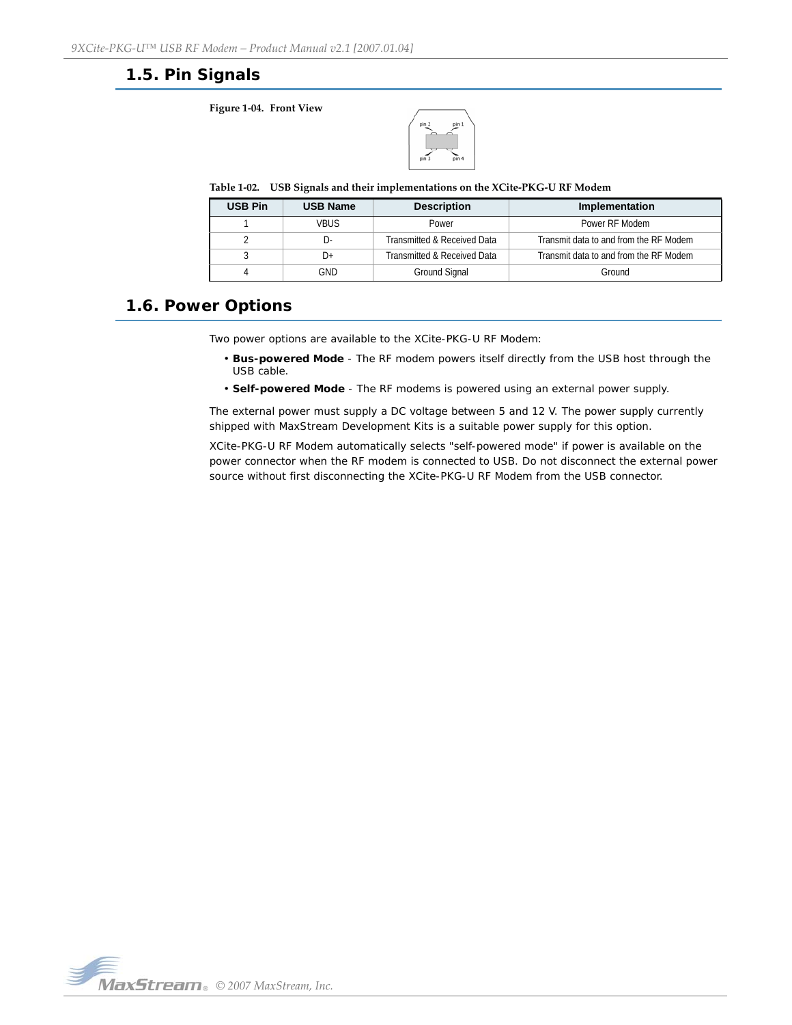# <span id="page-6-0"></span>**1.5. Pin Signals**

**Figure 1‐04. Front View**



**Table 1‐02. USB Signals and their implementations on the XCite‐PKG‐U RF Modem**

| <b>USB Pin</b> | <b>USB Name</b> | <b>Description</b>          | Implementation                         |
|----------------|-----------------|-----------------------------|----------------------------------------|
|                | <b>VRUS</b>     | Power                       | Power RF Modem                         |
|                | $\vert$ ).      | Transmitted & Received Data | Transmit data to and from the RF Modem |
|                | $1+$            | Transmitted & Received Data | Transmit data to and from the RF Modem |
|                | GND             | Ground Signal               | Ground                                 |

# <span id="page-6-1"></span>**1.6. Power Options**

Two power options are available to the XCite-PKG-U RF Modem:

- **Bus-powered Mode** The RF modem powers itself directly from the USB host through the USB cable.
- **Self-powered Mode**  The RF modems is powered using an external power supply.

The external power must supply a DC voltage between 5 and 12 V. The power supply currently shipped with MaxStream Development Kits is a suitable power supply for this option.

XCite-PKG-U RF Modem automatically selects "self-powered mode" if power is available on the power connector when the RF modem is connected to USB. Do not disconnect the external power source without first disconnecting the XCite-PKG-U RF Modem from the USB connector.

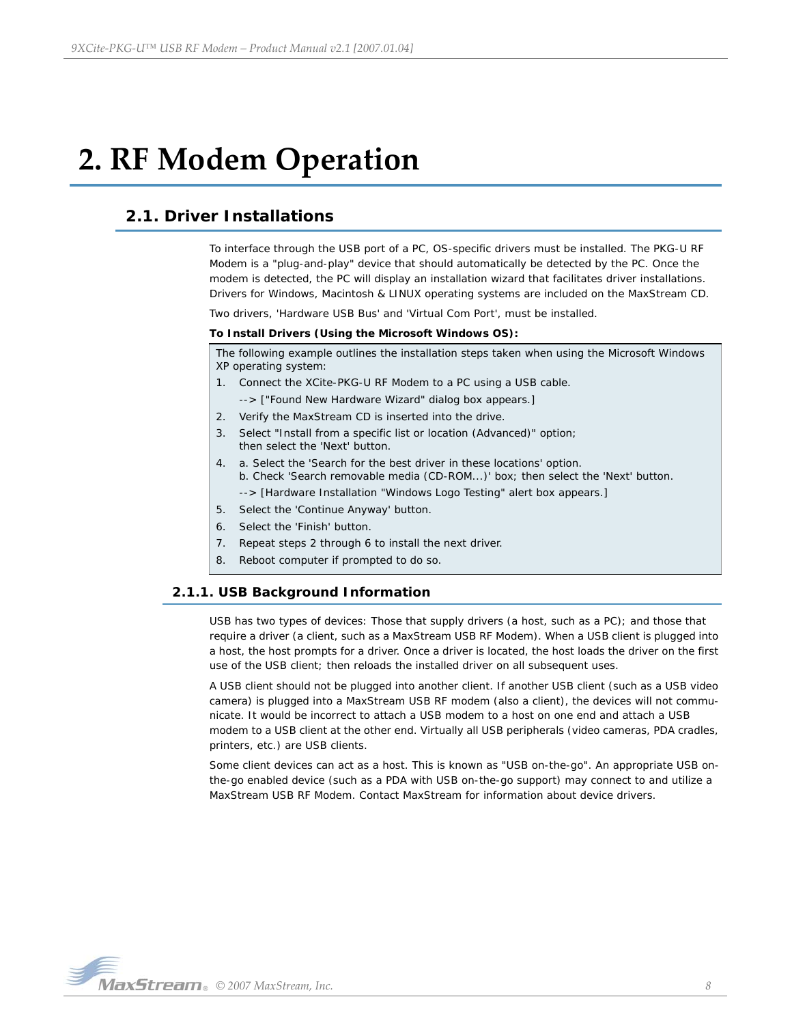# <span id="page-7-0"></span>**2. RF Modem Operation**

# <span id="page-7-1"></span>**2.1. Driver Installations**

To interface through the USB port of a PC, OS-specific drivers must be installed. The PKG-U RF Modem is a "plug-and-play" device that should automatically be detected by the PC. Once the modem is detected, the PC will display an installation wizard that facilitates driver installations. Drivers for Windows, Macintosh & LINUX operating systems are included on the MaxStream CD.

Two drivers, 'Hardware USB Bus' and 'Virtual Com Port', must be installed.

### **To Install Drivers (Using the Microsoft Windows OS):**

The following example outlines the installation steps taken when using the Microsoft Windows XP operating system:

- 1. Connect the XCite-PKG-U RF Modem to a PC using a USB cable.
- --> ["Found New Hardware Wizard" dialog box appears.]
- 2. Verify the MaxStream CD is inserted into the drive.
- 3. Select "Install from a specific list or location (Advanced)" option; then select the 'Next' button.
- 4. a. Select the 'Search for the best driver in these locations' option. b. Check 'Search removable media (CD-ROM...)' box; then select the 'Next' button.
	- --> [Hardware Installation "Windows Logo Testing" alert box appears.]
- 5. Select the 'Continue Anyway' button.
- 6. Select the 'Finish' button.
- 7. Repeat steps 2 through 6 to install the next driver.
- 8. Reboot computer if prompted to do so.

## <span id="page-7-2"></span>**2.1.1. USB Background Information**

USB has two types of devices: Those that supply drivers (a host, such as a PC); and those that require a driver (a client, such as a MaxStream USB RF Modem). When a USB client is plugged into a host, the host prompts for a driver. Once a driver is located, the host loads the driver on the first use of the USB client; then reloads the installed driver on all subsequent uses.

A USB client should not be plugged into another client. If another USB client (such as a USB video camera) is plugged into a MaxStream USB RF modem (also a client), the devices will not communicate. It would be incorrect to attach a USB modem to a host on one end and attach a USB modem to a USB client at the other end. Virtually all USB peripherals (video cameras, PDA cradles, printers, etc.) are USB clients.

Some client devices can act as a host. This is known as "USB on-the-go". An appropriate USB onthe-go enabled device (such as a PDA with USB on-the-go support) may connect to and utilize a MaxStream USB RF Modem. Contact MaxStream for information about device drivers.

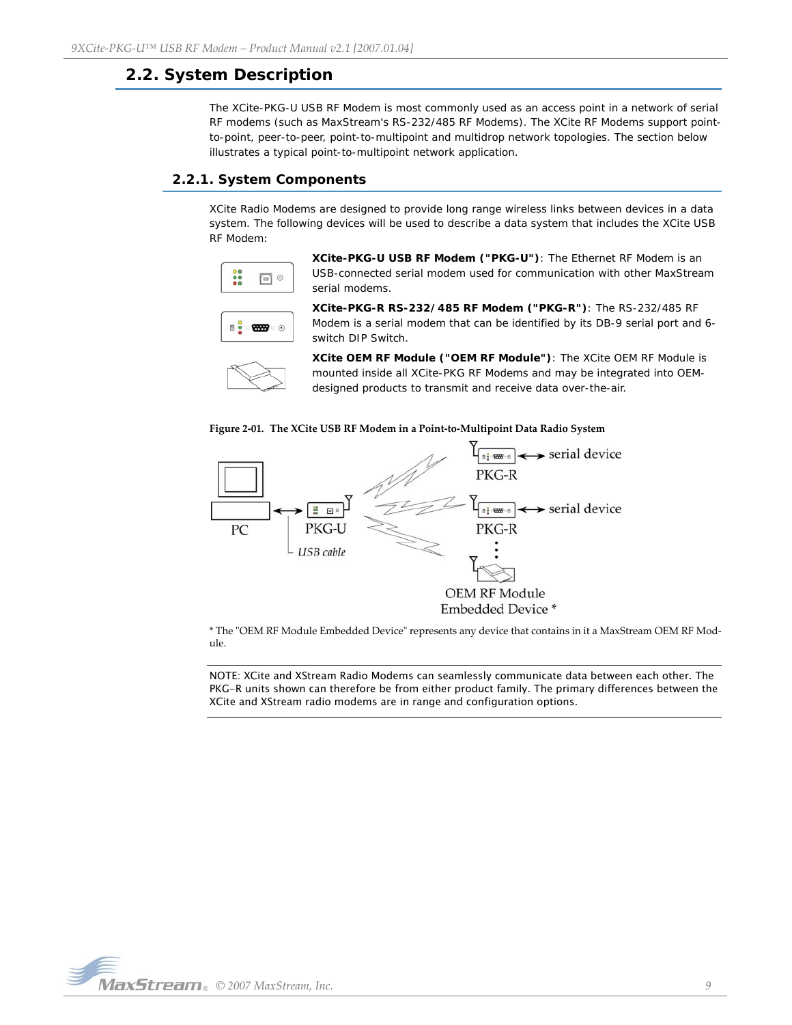# <span id="page-8-0"></span>**2.2. System Description**

The XCite-PKG-U USB RF Modem is most commonly used as an access point in a network of serial RF modems (such as MaxStream's RS-232/485 RF Modems). The XCite RF Modems support pointto-point, peer-to-peer, point-to-multipoint and multidrop network topologies. The section below illustrates a typical point-to-multipoint network application.

## <span id="page-8-1"></span>**2.2.1. System Components**

XCite Radio Modems are designed to provide long range wireless links between devices in a data system. The following devices will be used to describe a data system that includes the XCite USB RF Modem:



**XCite-PKG-U USB RF Modem ("PKG-U")**: The Ethernet RF Modem is an USB-connected serial modem used for communication with other MaxStream serial modems.



**XCite-PKG-R RS-232/485 RF Modem ("PKG-R")**: The RS-232/485 RF Modem is a serial modem that can be identified by its DB-9 serial port and 6 switch DIP Switch.



**XCite OEM RF Module ("OEM RF Module")**: The XCite OEM RF Module is mounted inside all XCite-PKG RF Modems and may be integrated into OEMdesigned products to transmit and receive data over-the-air.





\* The "OEM RF Module Embedded Device" represents any device that contains in it a MaxStream OEM RF Module.

NOTE: XCite and XStream Radio Modems can seamlessly communicate data between each other. The PKG-R units shown can therefore be from either product family. The primary differences between the XCite and XStream radio modems are in range and configuration options.

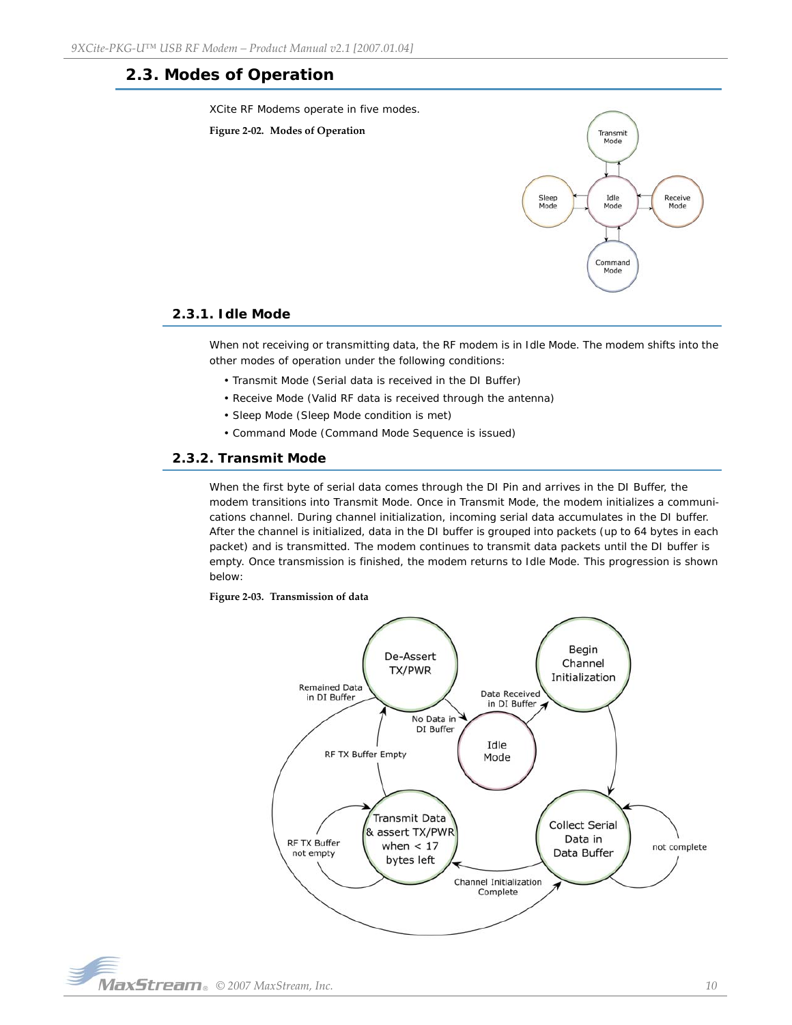# <span id="page-9-0"></span>**2.3. Modes of Operation**

XCite RF Modems operate in five modes.





## <span id="page-9-1"></span>**2.3.1. Idle Mode**

When not receiving or transmitting data, the RF modem is in Idle Mode. The modem shifts into the other modes of operation under the following conditions:

- Transmit Mode (Serial data is received in the DI Buffer)
- Receive Mode (Valid RF data is received through the antenna)
- Sleep Mode (Sleep Mode condition is met)
- Command Mode (Command Mode Sequence is issued)

## <span id="page-9-2"></span>**2.3.2. Transmit Mode**

When the first byte of serial data comes through the DI Pin and arrives in the DI Buffer, the modem transitions into Transmit Mode. Once in Transmit Mode, the modem initializes a communications channel. During channel initialization, incoming serial data accumulates in the DI buffer. After the channel is initialized, data in the DI buffer is grouped into packets (up to 64 bytes in each packet) and is transmitted. The modem continues to transmit data packets until the DI buffer is empty. Once transmission is finished, the modem returns to Idle Mode. This progression is shown below:

#### **Figure 2‐03. Transmission of data**



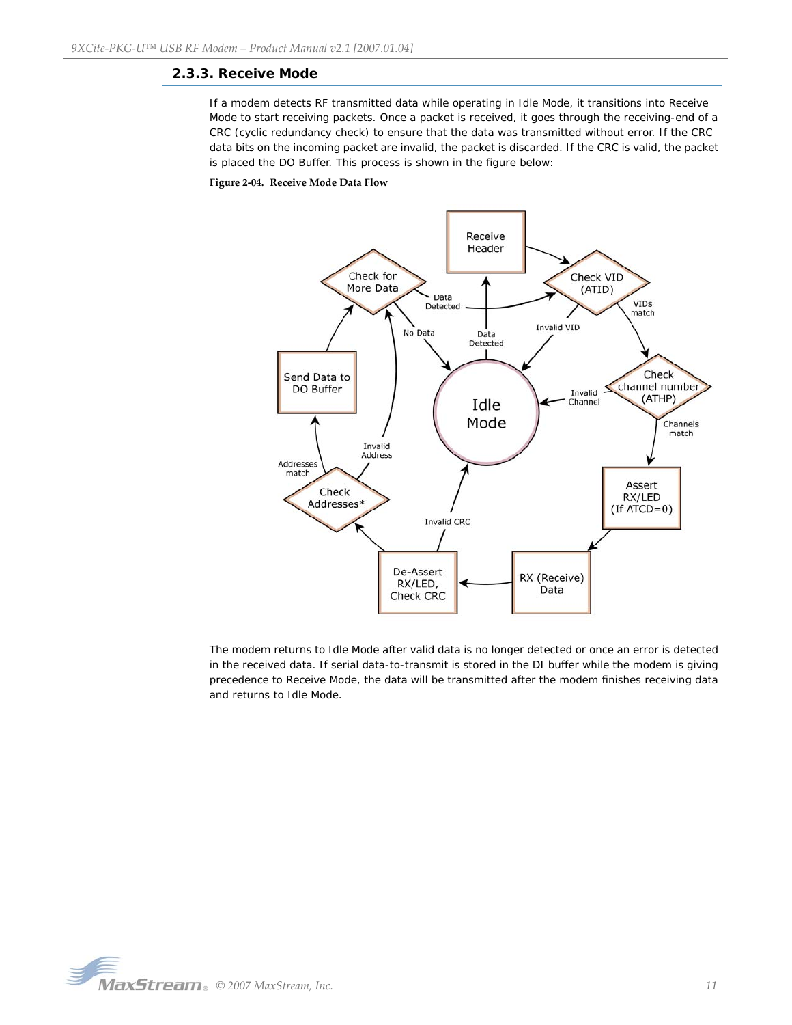## <span id="page-10-0"></span>**2.3.3. Receive Mode**

If a modem detects RF transmitted data while operating in Idle Mode, it transitions into Receive Mode to start receiving packets. Once a packet is received, it goes through the receiving-end of a CRC (cyclic redundancy check) to ensure that the data was transmitted without error. If the CRC data bits on the incoming packet are invalid, the packet is discarded. If the CRC is valid, the packet is placed the DO Buffer. This process is shown in the figure below:

#### **Figure 2‐04. Receive Mode Data Flow**



The modem returns to Idle Mode after valid data is no longer detected or once an error is detected in the received data. If serial data-to-transmit is stored in the DI buffer while the modem is giving precedence to Receive Mode, the data will be transmitted after the modem finishes receiving data and returns to Idle Mode.

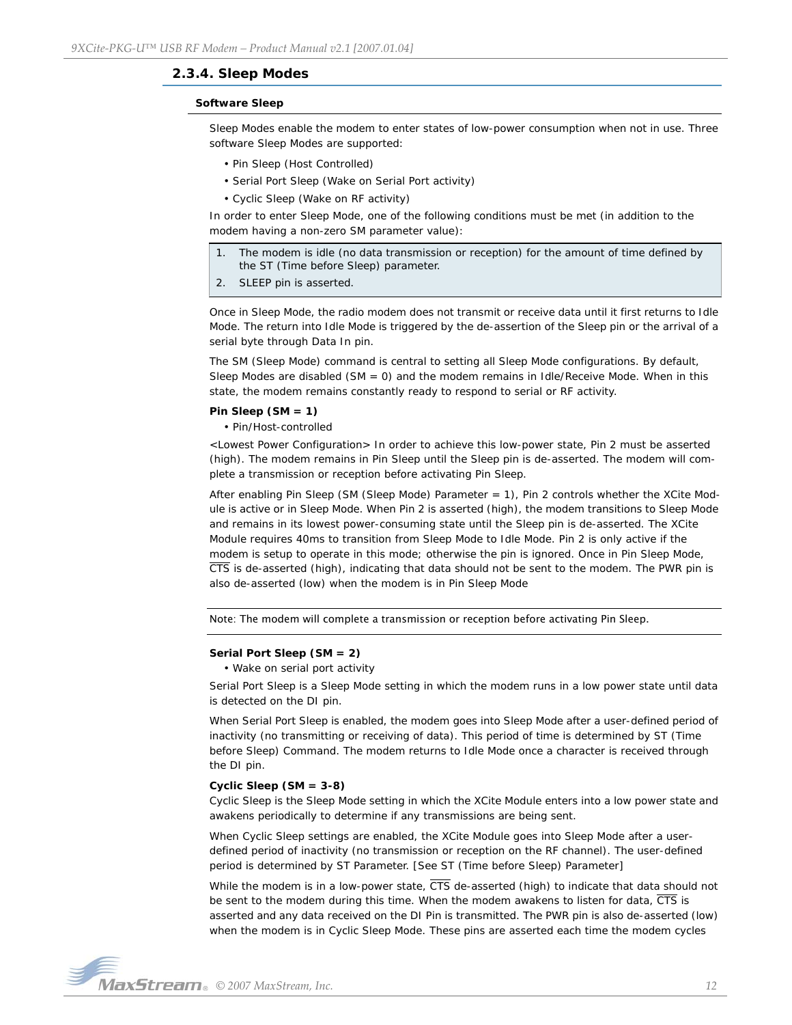### <span id="page-11-0"></span>**2.3.4. Sleep Modes**

#### **Software Sleep**

Sleep Modes enable the modem to enter states of low-power consumption when not in use. Three software Sleep Modes are supported:

- Pin Sleep (Host Controlled)
- Serial Port Sleep (Wake on Serial Port activity)
- Cyclic Sleep (Wake on RF activity)

In order to enter Sleep Mode, one of the following conditions must be met (in addition to the modem having a non-zero SM parameter value):

- 1. The modem is idle (no data transmission or reception) for the amount of time defined by the ST (Time before Sleep) parameter.
- 2. SLEEP pin is asserted.

Once in Sleep Mode, the radio modem does not transmit or receive data until it first returns to Idle Mode. The return into Idle Mode is triggered by the de-assertion of the Sleep pin or the arrival of a serial byte through Data In pin.

The SM (Sleep Mode) command is central to setting all Sleep Mode configurations. By default, Sleep Modes are disabled (SM = 0) and the modem remains in Idle/Receive Mode. When in this state, the modem remains constantly ready to respond to serial or RF activity.

#### **Pin Sleep (SM = 1)**

• Pin/Host-controlled

<Lowest Power Configuration> In order to achieve this low-power state, Pin 2 must be asserted (high). The modem remains in Pin Sleep until the Sleep pin is de-asserted. The modem will complete a transmission or reception before activating Pin Sleep.

After enabling Pin Sleep (SM (Sleep Mode) Parameter = 1), Pin 2 controls whether the XCite Module is active or in Sleep Mode. When Pin 2 is asserted (high), the modem transitions to Sleep Mode and remains in its lowest power-consuming state until the Sleep pin is de-asserted. The XCite Module requires 40ms to transition from Sleep Mode to Idle Mode. Pin 2 is only active if the modem is setup to operate in this mode; otherwise the pin is ignored. Once in Pin Sleep Mode,  $\overline{\text{CTS}}$  is de-asserted (high), indicating that data should not be sent to the modem. The PWR pin is also de-asserted (low) when the modem is in Pin Sleep Mode

Note: The modem will complete a transmission or reception before activating Pin Sleep.

#### **Serial Port Sleep (SM = 2)**

• Wake on serial port activity

Serial Port Sleep is a Sleep Mode setting in which the modem runs in a low power state until data is detected on the DI pin.

When Serial Port Sleep is enabled, the modem goes into Sleep Mode after a user-defined period of inactivity (no transmitting or receiving of data). This period of time is determined by ST (Time before Sleep) Command. The modem returns to Idle Mode once a character is received through the DI pin.

#### **Cyclic Sleep (SM = 3-8)**

Cyclic Sleep is the Sleep Mode setting in which the XCite Module enters into a low power state and awakens periodically to determine if any transmissions are being sent.

When Cyclic Sleep settings are enabled, the XCite Module goes into Sleep Mode after a userdefined period of inactivity (no transmission or reception on the RF channel). The user-defined period is determined by ST Parameter. [See ST (Time before Sleep) Parameter]

While the modem is in a low-power state,  $\overline{\text{CTS}}$  de-asserted (high) to indicate that data should not be sent to the modem during this time. When the modem awakens to listen for data, CTS is asserted and any data received on the DI Pin is transmitted. The PWR pin is also de-asserted (low) when the modem is in Cyclic Sleep Mode. These pins are asserted each time the modem cycles

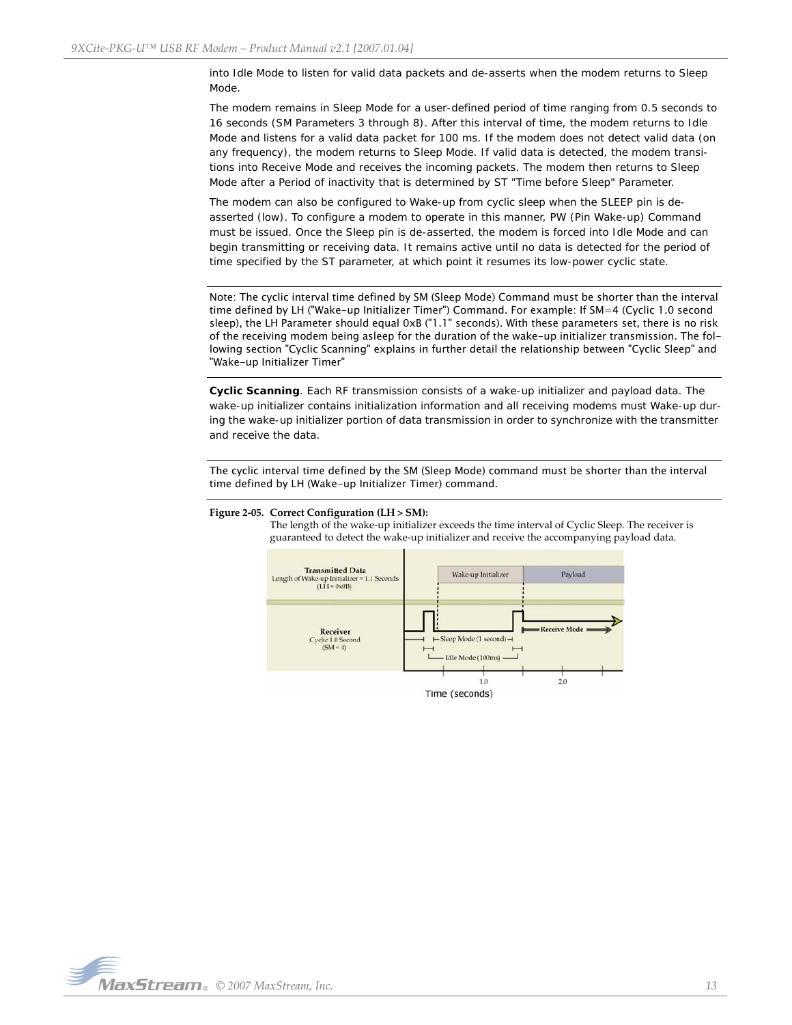into Idle Mode to listen for valid data packets and de-asserts when the modem returns to Sleep Mode.

The modem remains in Sleep Mode for a user-defined period of time ranging from 0.5 seconds to 16 seconds (SM Parameters 3 through 8). After this interval of time, the modem returns to Idle Mode and listens for a valid data packet for 100 ms. If the modem does not detect valid data (on any frequency), the modem returns to Sleep Mode. If valid data is detected, the modem transitions into Receive Mode and receives the incoming packets. The modem then returns to Sleep Mode after a Period of inactivity that is determined by ST "Time before Sleep" Parameter.

The modem can also be configured to Wake-up from cyclic sleep when the SLEEP pin is deasserted (low). To configure a modem to operate in this manner, PW (Pin Wake-up) Command must be issued. Once the Sleep pin is de-asserted, the modem is forced into Idle Mode and can begin transmitting or receiving data. It remains active until no data is detected for the period of time specified by the ST parameter, at which point it resumes its low-power cyclic state.

Note: The cyclic interval time defined by SM (Sleep Mode) Command must be shorter than the interval time defined by LH ("Wake-up Initializer Timer") Command. For example: If SM=4 (Cyclic 1.0 second sleep), the LH Parameter should equal 0xB ("1.1" seconds). With these parameters set, there is no risk of the receiving modem being asleep for the duration of the wake-up initializer transmission. The following section "Cyclic Scanning" explains in further detail the relationship between "Cyclic Sleep" and "Wake-up Initializer Timer"

**Cyclic Scanning**. Each RF transmission consists of a wake-up initializer and payload data. The wake-up initializer contains initialization information and all receiving modems must Wake-up during the wake-up initializer portion of data transmission in order to synchronize with the transmitter and receive the data.

The cyclic interval time defined by the SM (Sleep Mode) command must be shorter than the interval time defined by LH (Wake-up Initializer Timer) command.



#### **Figure 2‐05. Correct Configuration (LH > SM):**

The length of the wake-up initializer exceeds the time interval of Cyclic Sleep. The receiver is guaranteed to detect the wake‐up initializer and receive the accompanying payload data.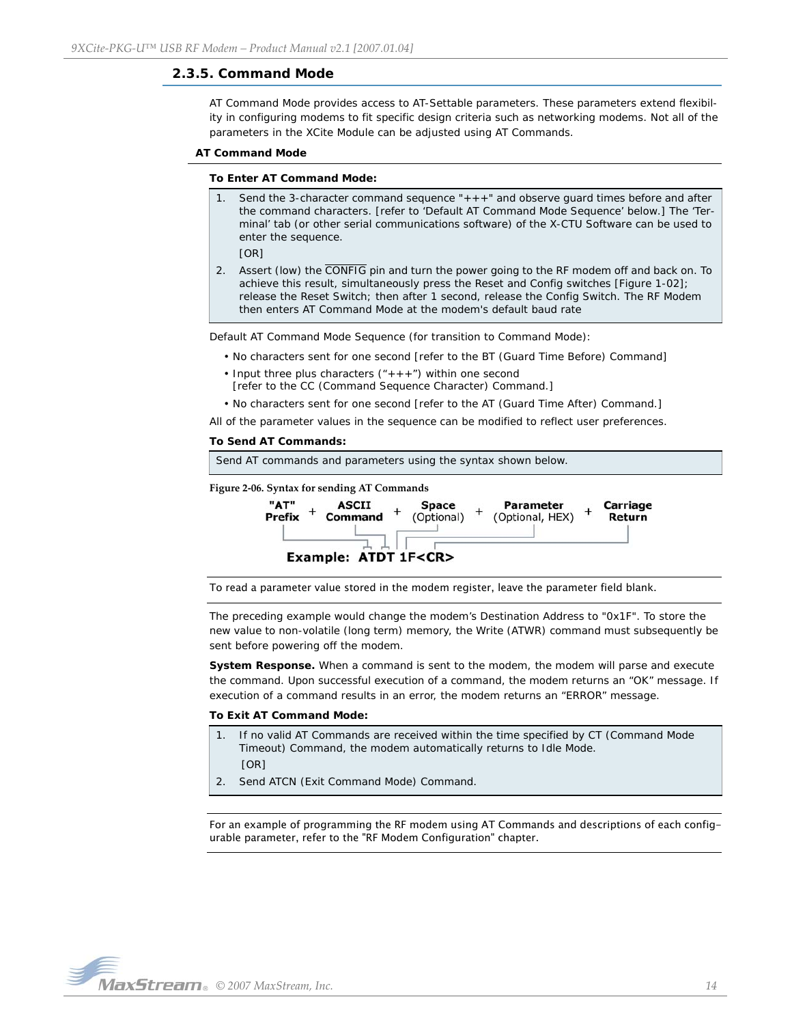## <span id="page-13-0"></span>**2.3.5. Command Mode**

AT Command Mode provides access to AT-Settable parameters. These parameters extend flexibility in configuring modems to fit specific design criteria such as networking modems. Not all of the parameters in the XCite Module can be adjusted using AT Commands.

#### **AT Command Mode**

#### **To Enter AT Command Mode:**

Send the 3-character command sequence " $+++$ " and observe guard times before and after the command characters. [refer to 'Default AT Command Mode Sequence' below.] The 'Terminal' tab (or other serial communications software) of the X-CTU Software can be used to enter the sequence.

[OR]

2. Assert (low) the CONFIG pin and turn the power going to the RF modem off and back on. To achieve this result, simultaneously press the Reset and Config switches [Figure 1-02]; release the Reset Switch; then after 1 second, release the Config Switch. The RF Modem then enters AT Command Mode at the modem's default baud rate

Default AT Command Mode Sequence (for transition to Command Mode):

- No characters sent for one second [refer to the BT (Guard Time Before) Command]
- Input three plus characters  $(*++*)$  within one second
- [refer to the CC (Command Sequence Character) Command.]

• No characters sent for one second [refer to the AT (Guard Time After) Command.]

All of the parameter values in the sequence can be modified to reflect user preferences.

#### **To Send AT Commands:**



To read a parameter value stored in the modem register, leave the parameter field blank.

The preceding example would change the modem's Destination Address to "0x1F". To store the new value to non-volatile (long term) memory, the Write (ATWR) command must subsequently be sent before powering off the modem.

**System Response.** When a command is sent to the modem, the modem will parse and execute the command. Upon successful execution of a command, the modem returns an "OK" message. If execution of a command results in an error, the modem returns an "ERROR" message.

#### **To Exit AT Command Mode:**

- 1. If no valid AT Commands are received within the time specified by CT (Command Mode Timeout) Command, the modem automatically returns to Idle Mode. [OR]
- 2. Send ATCN (Exit Command Mode) Command.

For an example of programming the RF modem using AT Commands and descriptions of each configurable parameter, refer to the "RF Modem Configuration" chapter.

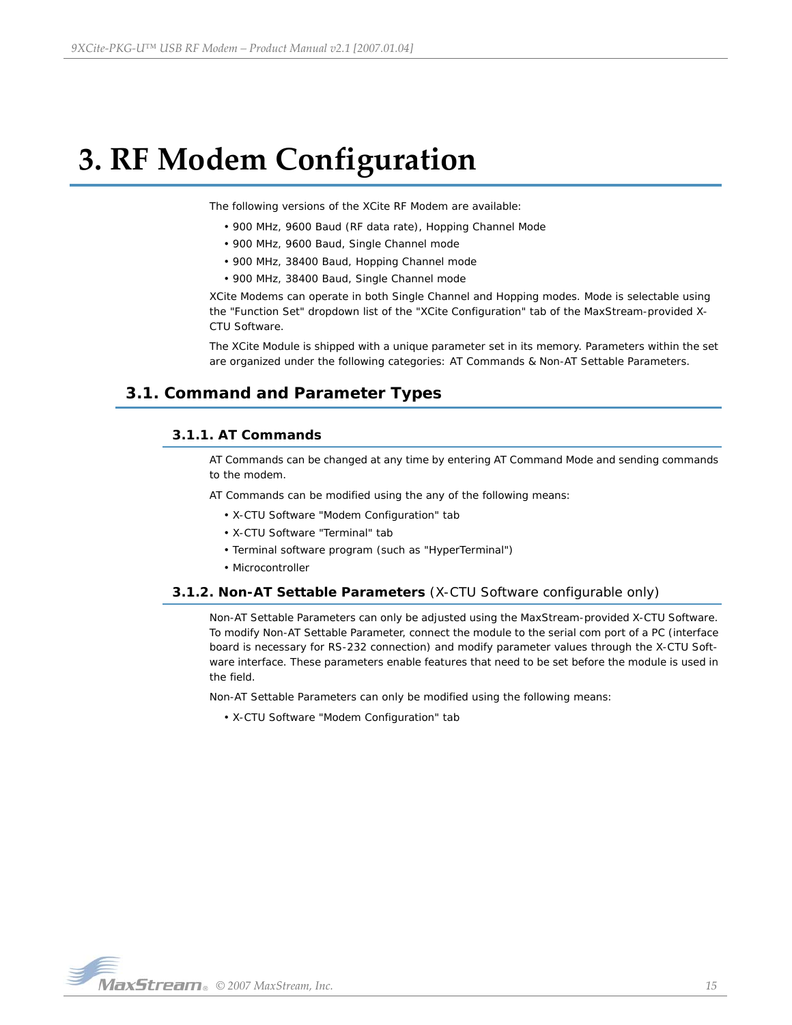# <span id="page-14-0"></span>**3. RF Modem Configuration**

The following versions of the XCite RF Modem are available:

- 900 MHz, 9600 Baud (RF data rate), Hopping Channel Mode
- 900 MHz, 9600 Baud, Single Channel mode
- 900 MHz, 38400 Baud, Hopping Channel mode
- 900 MHz, 38400 Baud, Single Channel mode

XCite Modems can operate in both Single Channel and Hopping modes. Mode is selectable using the "Function Set" dropdown list of the "XCite Configuration" tab of the MaxStream-provided X-CTU Software.

The XCite Module is shipped with a unique parameter set in its memory. Parameters within the set are organized under the following categories: AT Commands & Non-AT Settable Parameters.

# <span id="page-14-2"></span><span id="page-14-1"></span>**3.1. Command and Parameter Types**

## **3.1.1. AT Commands**

AT Commands can be changed at any time by entering AT Command Mode and sending commands to the modem.

AT Commands can be modified using the any of the following means:

- X-CTU Software "Modem Configuration" tab
- X-CTU Software "Terminal" tab
- Terminal software program (such as "HyperTerminal")
- Microcontroller

## <span id="page-14-3"></span>**3.1.2. Non-AT Settable Parameters** (X-CTU Software configurable only)

Non-AT Settable Parameters can only be adjusted using the MaxStream-provided X-CTU Software. To modify Non-AT Settable Parameter, connect the module to the serial com port of a PC (interface board is necessary for RS-232 connection) and modify parameter values through the X-CTU Software interface. These parameters enable features that need to be set before the module is used in the field.

Non-AT Settable Parameters can only be modified using the following means:

• X-CTU Software "Modem Configuration" tab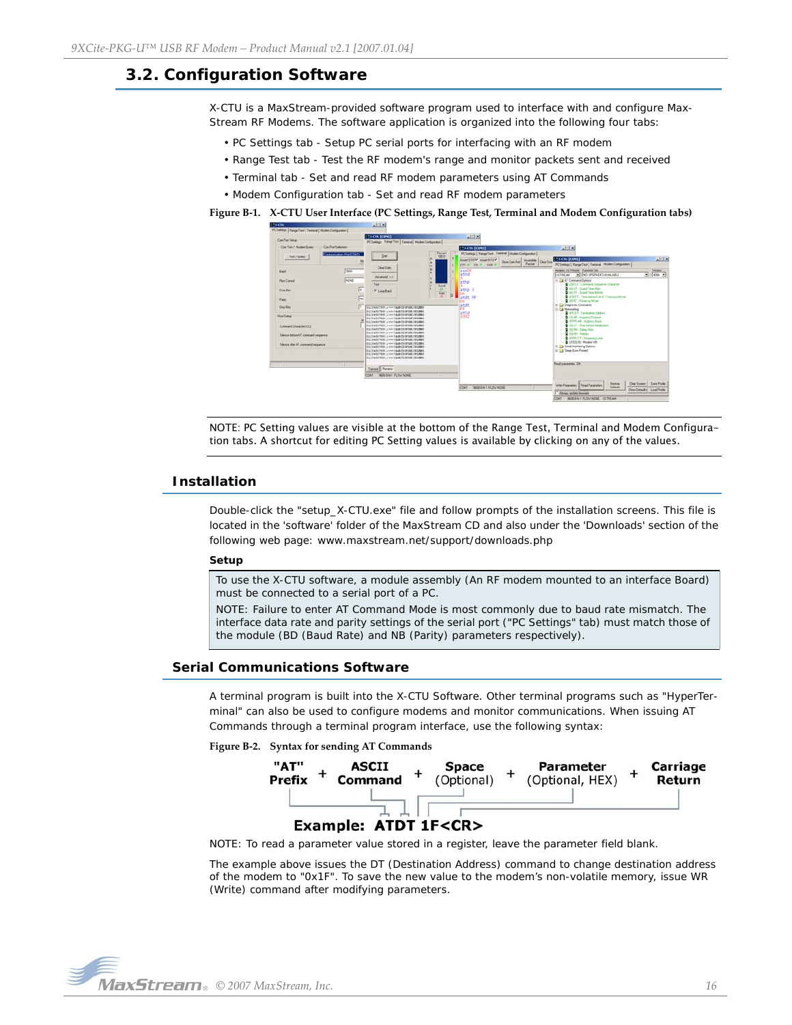# <span id="page-15-0"></span>**3.2. Configuration Software**

X-CTU is a MaxStream-provided software program used to interface with and configure Max-Stream RF Modems. The software application is organized into the following four tabs:

- PC Settings tab Setup PC serial ports for interfacing with an RF modem
- Range Test tab Test the RF modem's range and monitor packets sent and received
- Terminal tab Set and read RF modem parameters using AT Commands
- Modem Configuration tab Set and read RF modem parameters

**Figure B‐1. X‐CTU User Interface (PC Settings, Range Test, Terminal and Modem Configuration tabs)**



NOTE: PC Setting values are visible at the bottom of the Range Test, Terminal and Modem Configuration tabs. A shortcut for editing PC Setting values is available by clicking on any of the values.

### <span id="page-15-1"></span>**Installation**

Double-click the "setup\_X-CTU.exe" file and follow prompts of the installation screens. This file is located in the 'software' folder of the MaxStream CD and also under the 'Downloads' section of the following web page: www.maxstream.net/support/downloads.php

#### **Setup**

To use the X-CTU software, a module assembly (An RF modem mounted to an interface Board) must be connected to a serial port of a PC.

NOTE: Failure to enter AT Command Mode is most commonly due to baud rate mismatch. The interface data rate and parity settings of the serial port ("PC Settings" tab) must match those of the module (BD (Baud Rate) and NB (Parity) parameters respectively).

## <span id="page-15-2"></span>**Serial Communications Software**

A terminal program is built into the X-CTU Software. Other terminal programs such as "HyperTerminal" can also be used to configure modems and monitor communications. When issuing AT Commands through a terminal program interface, use the following syntax:

**Figure B‐2. Syntax for sending AT Commands**



NOTE: To read a parameter value stored in a register, leave the parameter field blank.

The example above issues the DT (Destination Address) command to change destination address of the modem to "0x1F". To save the new value to the modem's non-volatile memory, issue WR (Write) command after modifying parameters.

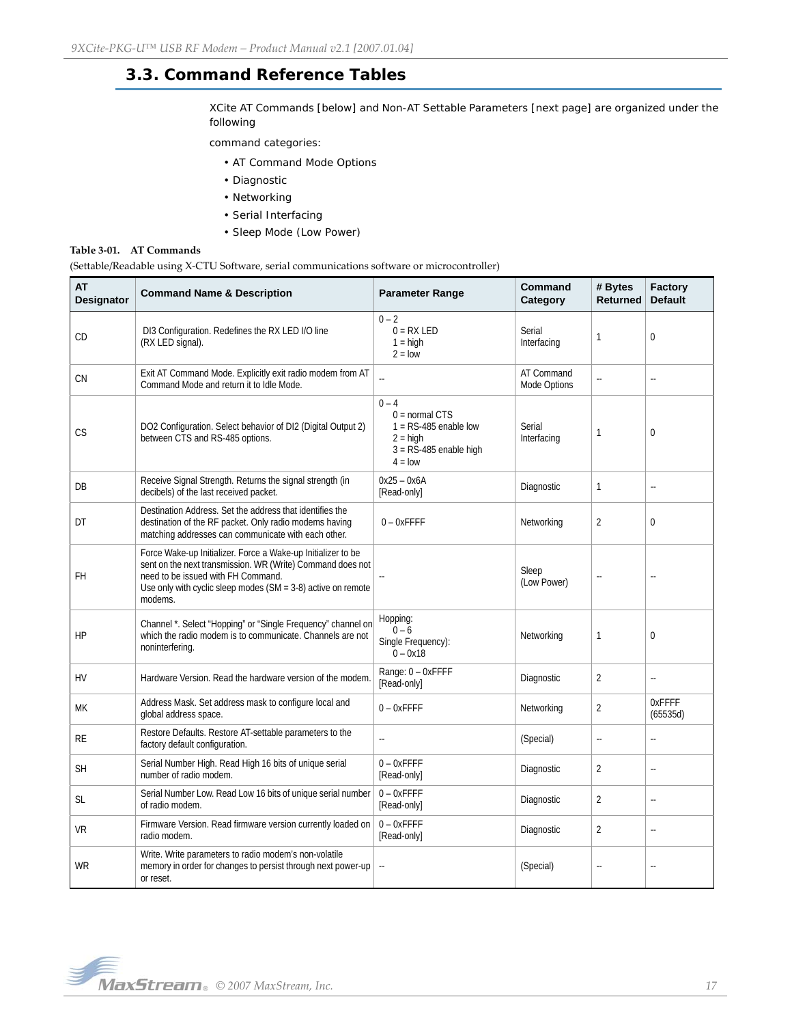# <span id="page-16-0"></span>**3.3. Command Reference Tables**

XCite AT Commands [below] and Non-AT Settable Parameters [next page] are organized under the following

command categories:

- AT Command Mode Options
- Diagnostic
- Networking
- Serial Interfacing
- Sleep Mode (Low Power)

#### **Table 3‐01. AT Commands**

(Settable/Readable using X‐CTU Software, serial communications software or microcontroller)

| <b>AT</b><br><b>Designator</b> | <b>Command Name &amp; Description</b>                                                                                                                                                                                                           | <b>Parameter Range</b>                                                                                        | Command<br>Category        | # Bytes<br><b>Returned</b> | Factory<br><b>Default</b> |
|--------------------------------|-------------------------------------------------------------------------------------------------------------------------------------------------------------------------------------------------------------------------------------------------|---------------------------------------------------------------------------------------------------------------|----------------------------|----------------------------|---------------------------|
| CD                             | DI3 Configuration. Redefines the RX LED I/O line<br>(RX LED signal).                                                                                                                                                                            | $0 - 2$<br>$0 = RX LED$<br>$1 = high$<br>$2 =$ low                                                            | Serial<br>Interfacing      | 1                          | $\overline{0}$            |
| CN                             | Exit AT Command Mode. Explicitly exit radio modem from AT<br>Command Mode and return it to Idle Mode.                                                                                                                                           | L.                                                                                                            | AT Command<br>Mode Options | ă.                         | ă.                        |
| СS                             | DO2 Configuration. Select behavior of DI2 (Digital Output 2)<br>between CTS and RS-485 options.                                                                                                                                                 | $0 - 4$<br>$0 = normal CTS$<br>$1 = RS-485$ enable low<br>$2 =$ high<br>$3 = RS-485$ enable high<br>$4 = 10W$ | Serial<br>Interfacing      | 1                          | $\mathbf 0$               |
| DB                             | Receive Signal Strength. Returns the signal strength (in<br>decibels) of the last received packet.                                                                                                                                              | $0x25 - 0x6A$<br>[Read-only]                                                                                  | Diagnostic                 | $\mathbf{1}$               | u.                        |
| DT                             | Destination Address. Set the address that identifies the<br>destination of the RF packet. Only radio modems having<br>matching addresses can communicate with each other.                                                                       | $0 - 0x$ FFFF                                                                                                 | Networking                 | 2                          | $\Omega$                  |
| FH                             | Force Wake-up Initializer. Force a Wake-up Initializer to be<br>sent on the next transmission. WR (Write) Command does not<br>need to be issued with FH Command.<br>Use only with cyclic sleep modes ( $SM = 3-8$ ) active on remote<br>modems. |                                                                                                               | Sleep<br>(Low Power)       | ä.                         | u.                        |
| HP                             | Channel *. Select "Hopping" or "Single Frequency" channel on<br>which the radio modem is to communicate. Channels are not<br>noninterfering.                                                                                                    | Hopping:<br>$0 - 6$<br>Single Frequency):<br>$0 - 0x18$                                                       | Networking                 | 1                          | $\mathbf{0}$              |
| <b>HV</b>                      | Hardware Version. Read the hardware version of the modem.                                                                                                                                                                                       | Range: 0 - OxFFFF<br>[Read-only]                                                                              | Diagnostic                 | $\overline{2}$             | ω.                        |
| МK                             | Address Mask. Set address mask to configure local and<br>global address space.                                                                                                                                                                  | $0 - 0x$ FFFF                                                                                                 | Networking                 | $\overline{2}$             | OxFFFF<br>(65535d)        |
| RE                             | Restore Defaults. Restore AT-settable parameters to the<br>factory default configuration.                                                                                                                                                       | ă.                                                                                                            | (Special)                  | ÷,                         | u.                        |
| <b>SH</b>                      | Serial Number High. Read High 16 bits of unique serial<br>number of radio modem.                                                                                                                                                                | $0 - 0x$ FFFF<br>[Read-only]                                                                                  | Diagnostic                 | $\overline{2}$             | $\Box$                    |
| SL                             | Serial Number Low. Read Low 16 bits of unique serial number<br>of radio modem.                                                                                                                                                                  | $0 - 0x$ FFFF<br>[Read-only]                                                                                  | Diagnostic                 | $\overline{2}$             | ÷,                        |
| VR                             | Firmware Version. Read firmware version currently loaded on<br>radio modem.                                                                                                                                                                     | $0 - 0x$ FFFF<br>[Read-only]                                                                                  | Diagnostic                 | $\overline{2}$             | ä.                        |
| WR                             | Write. Write parameters to radio modem's non-volatile<br>memory in order for changes to persist through next power-up<br>or reset.                                                                                                              | Ξ.                                                                                                            | (Special)                  | $\ddot{\phantom{a}}$       | $\ddot{\phantom{a}}$      |

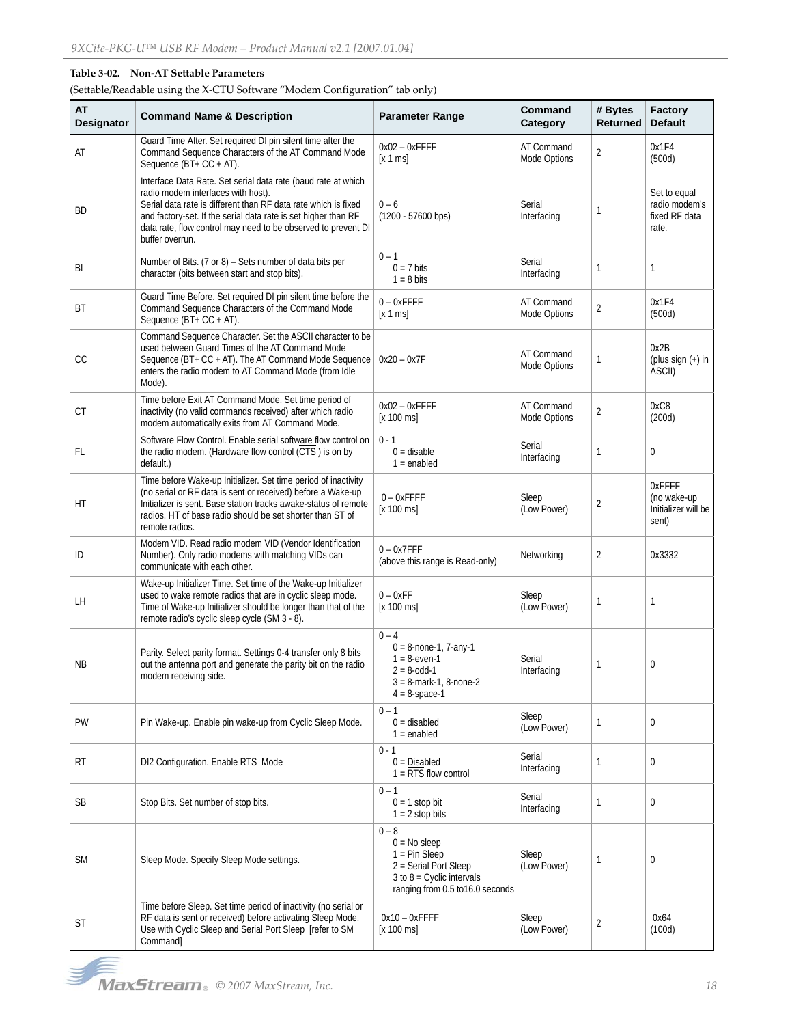## **Table 3‐02. Non‐AT Settable Parameters**

(Settable/Readable using the X‐CTU Software "Modem Configuration" tab only)

| AT<br>Designator | <b>Command Name &amp; Description</b>                                                                                                                                                                                                                                                                                       | <b>Parameter Range</b>                                                                                                                   | Command<br>Category        | # Bytes<br><b>Returned</b> | Factory<br><b>Default</b>                               |
|------------------|-----------------------------------------------------------------------------------------------------------------------------------------------------------------------------------------------------------------------------------------------------------------------------------------------------------------------------|------------------------------------------------------------------------------------------------------------------------------------------|----------------------------|----------------------------|---------------------------------------------------------|
| AT               | Guard Time After. Set required DI pin silent time after the<br>Command Sequence Characters of the AT Command Mode<br>Sequence (BT+ CC + AT).                                                                                                                                                                                | $0x02 - 0x$ FFFF<br>[x 1 ms]                                                                                                             | AT Command<br>Mode Options | $\overline{2}$             | 0x1F4<br>(500d)                                         |
| BD               | Interface Data Rate. Set serial data rate (baud rate at which<br>radio modem interfaces with host).<br>Serial data rate is different than RF data rate which is fixed<br>and factory-set. If the serial data rate is set higher than RF<br>data rate, flow control may need to be observed to prevent DI<br>buffer overrun. | $0 - 6$<br>$(1200 - 57600$ bps)                                                                                                          | Serial<br>Interfacing      | 1                          | Set to equal<br>radio modem's<br>fixed RF data<br>rate. |
| BI               | Number of Bits. (7 or 8) - Sets number of data bits per<br>character (bits between start and stop bits).                                                                                                                                                                                                                    | $0 - 1$<br>$0 = 7$ bits<br>$1 = 8$ bits                                                                                                  | Serial<br>Interfacing      | 1                          | 1                                                       |
| <b>BT</b>        | Guard Time Before. Set required DI pin silent time before the<br>Command Sequence Characters of the Command Mode<br>Sequence (BT+ CC + AT).                                                                                                                                                                                 | $0 - 0x$ FFFF<br>[x 1 ms]                                                                                                                | AT Command<br>Mode Options | 2                          | 0x1F4<br>(500d)                                         |
| CC               | Command Sequence Character. Set the ASCII character to be<br>used between Guard Times of the AT Command Mode<br>Sequence (BT+ CC + AT). The AT Command Mode Sequence<br>enters the radio modem to AT Command Mode (from Idle<br>Mode).                                                                                      | $0x20 - 0x7F$                                                                                                                            | AT Command<br>Mode Options | 1                          | 0x2B<br>(plus sign $(+)$ in<br>ASCII)                   |
| <b>CT</b>        | Time before Exit AT Command Mode. Set time period of<br>inactivity (no valid commands received) after which radio<br>modem automatically exits from AT Command Mode.                                                                                                                                                        | $0x02 - 0x$ FFFF<br>[x 100 ms]                                                                                                           | AT Command<br>Mode Options | $\overline{2}$             | 0xC8<br>(200d)                                          |
| <b>FL</b>        | Software Flow Control. Enable serial software flow control on<br>the radio modem. (Hardware flow control (CTS) is on by<br>default.)                                                                                                                                                                                        | $0 - 1$<br>$0 =$ disable<br>$1 =$ enabled                                                                                                | Serial<br>Interfacing      | 1                          | $\mathbf{0}$                                            |
| HT               | Time before Wake-up Initializer. Set time period of inactivity<br>(no serial or RF data is sent or received) before a Wake-up<br>Initializer is sent. Base station tracks awake-status of remote<br>radios. HT of base radio should be set shorter than ST of<br>remote radios.                                             | $0 - 0x$ FFFF<br>[x 100 ms]                                                                                                              | Sleep<br>(Low Power)       | $\overline{2}$             | OxFFFF<br>(no wake-up<br>Initializer will be<br>sent)   |
| ID               | Modem VID. Read radio modem VID (Vendor Identification<br>Number). Only radio modems with matching VIDs can<br>communicate with each other.                                                                                                                                                                                 | $0 - 0x7$ FFF<br>(above this range is Read-only)                                                                                         | Networking                 | $\overline{2}$             | 0x3332                                                  |
| LH               | Wake-up Initializer Time. Set time of the Wake-up Initializer<br>used to wake remote radios that are in cyclic sleep mode.<br>Time of Wake-up Initializer should be longer than that of the<br>remote radio's cyclic sleep cycle (SM 3 - 8).                                                                                | $0 - 0xFF$<br>[x 100 ms]                                                                                                                 | Sleep<br>(Low Power)       | $\mathbf{1}$               | $\mathbf{1}$                                            |
| <b>NB</b>        | Parity. Select parity format. Settings 0-4 transfer only 8 bits<br>out the antenna port and generate the parity bit on the radio<br>modem receiving side.                                                                                                                                                                   | $0 - 4$<br>$0 = 8$ -none-1, 7-any-1<br>$1 = 8$ -even-1<br>$2 = 8 - odd - 1$<br>$3 = 8$ -mark-1, 8-none-2<br>$4 = 8$ -space-1             | Serial<br>Interfacing      | 1                          | 0                                                       |
| <b>PW</b>        | Pin Wake-up. Enable pin wake-up from Cyclic Sleep Mode.                                                                                                                                                                                                                                                                     | $0 - 1$<br>$0 =$ disabled<br>$1 =$ enabled                                                                                               | Sleep<br>(Low Power)       | 1                          | $\mathbf 0$                                             |
| RT               | DI2 Configuration. Enable RTS Mode                                                                                                                                                                                                                                                                                          | $0 - 1$<br>$0 = Disabled$<br>$1 = RTS$ flow control                                                                                      | Serial<br>Interfacing      | $\mathbf{1}$               | $\mathbf 0$                                             |
| <b>SB</b>        | Stop Bits. Set number of stop bits.                                                                                                                                                                                                                                                                                         | $0 - 1$<br>$0 = 1$ stop bit<br>$1 = 2$ stop bits                                                                                         | Serial<br>Interfacing      | 1                          | $\mathbf 0$                                             |
| <b>SM</b>        | Sleep Mode. Specify Sleep Mode settings.                                                                                                                                                                                                                                                                                    | $0 - 8$<br>$0 = No$ sleep<br>$1 = Pin Sleep$<br>2 = Serial Port Sleep<br>3 to $8$ = Cyclic intervals<br>ranging from 0.5 to 16.0 seconds | Sleep<br>(Low Power)       | 1                          | 0                                                       |
| ST               | Time before Sleep. Set time period of inactivity (no serial or<br>RF data is sent or received) before activating Sleep Mode.<br>Use with Cyclic Sleep and Serial Port Sleep [refer to SM<br>Command]                                                                                                                        | $0x10 - 0x$ FFFF<br>[x 100 ms]                                                                                                           | Sleep<br>(Low Power)       | $\overline{2}$             | 0x64<br>(100d)                                          |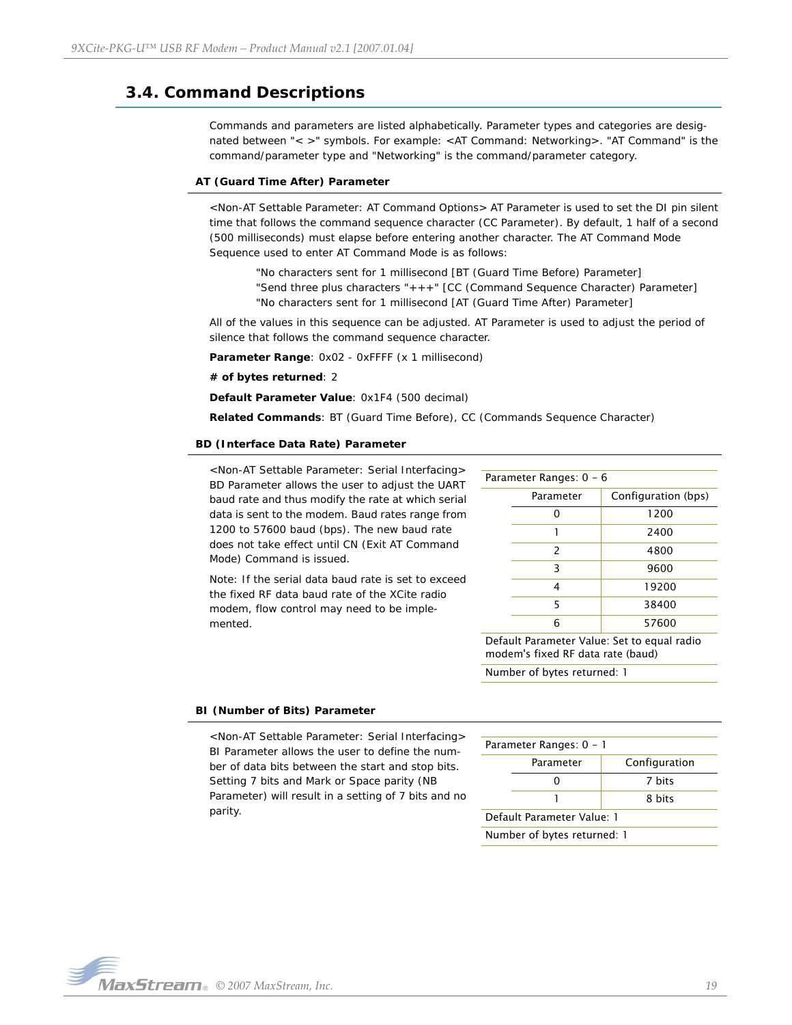# <span id="page-18-0"></span>**3.4. Command Descriptions**

Commands and parameters are listed alphabetically. Parameter types and categories are designated between "< >" symbols. For example: <AT Command: Networking>. "AT Command" is the command/parameter type and "Networking" is the command/parameter category.

#### **AT (Guard Time After) Parameter**

<Non-AT Settable Parameter: AT Command Options> AT Parameter is used to set the DI pin silent time that follows the command sequence character (CC Parameter). By default, 1 half of a second (500 milliseconds) must elapse before entering another character. The AT Command Mode Sequence used to enter AT Command Mode is as follows:

"No characters sent for 1 millisecond [BT (Guard Time Before) Parameter] "Send three plus characters "+++" [CC (Command Sequence Character) Parameter] "No characters sent for 1 millisecond [AT (Guard Time After) Parameter]

All of the values in this sequence can be adjusted. AT Parameter is used to adjust the period of silence that follows the command sequence character.

Parameter Range: 0x02 - 0xFFFF (x 1 millisecond)

**# of bytes returned**: 2

**Default Parameter Value**: 0x1F4 (500 decimal)

**Related Commands**: BT (Guard Time Before), CC (Commands Sequence Character)

#### **BD (Interface Data Rate) Parameter**

<Non-AT Settable Parameter: Serial Interfacing> BD Parameter allows the user to adjust the UART baud rate and thus modify the rate at which serial data is sent to the modem. Baud rates range from 1200 to 57600 baud (bps). The new baud rate does not take effect until CN (Exit AT Command Mode) Command is issued.

Note: If the serial data baud rate is set to exceed the fixed RF data baud rate of the XCite radio modem, flow control may need to be implemented.

| Parameter Ranges: 0 - 6 |               |                     |  |
|-------------------------|---------------|---------------------|--|
|                         | Parameter     | Configuration (bps) |  |
|                         |               | 1200                |  |
|                         |               | 2400                |  |
|                         | $\mathcal{P}$ | 4800                |  |
|                         | ς             | 9600                |  |
|                         | 4             | 19200               |  |
|                         | 5             | 38400               |  |
|                         | հ             | 57600               |  |
|                         |               |                     |  |

Default Parameter Value: Set to equal radio modem's fixed RF data rate (baud)

Number of bytes returned: 1

#### **BI (Number of Bits) Parameter**

<Non-AT Settable Parameter: Serial Interfacing> BI Parameter allows the user to define the number of data bits between the start and stop bits. Setting 7 bits and Mark or Space parity (NB Parameter) will result in a setting of 7 bits and no parity.

| Parameter Ranges: 0 - 1     |  |  |  |
|-----------------------------|--|--|--|
| Configuration<br>Parameter  |  |  |  |
| 7 hits                      |  |  |  |
| 8 hits                      |  |  |  |
| Default Parameter Value: 1  |  |  |  |
| Number of bytes returned: 1 |  |  |  |

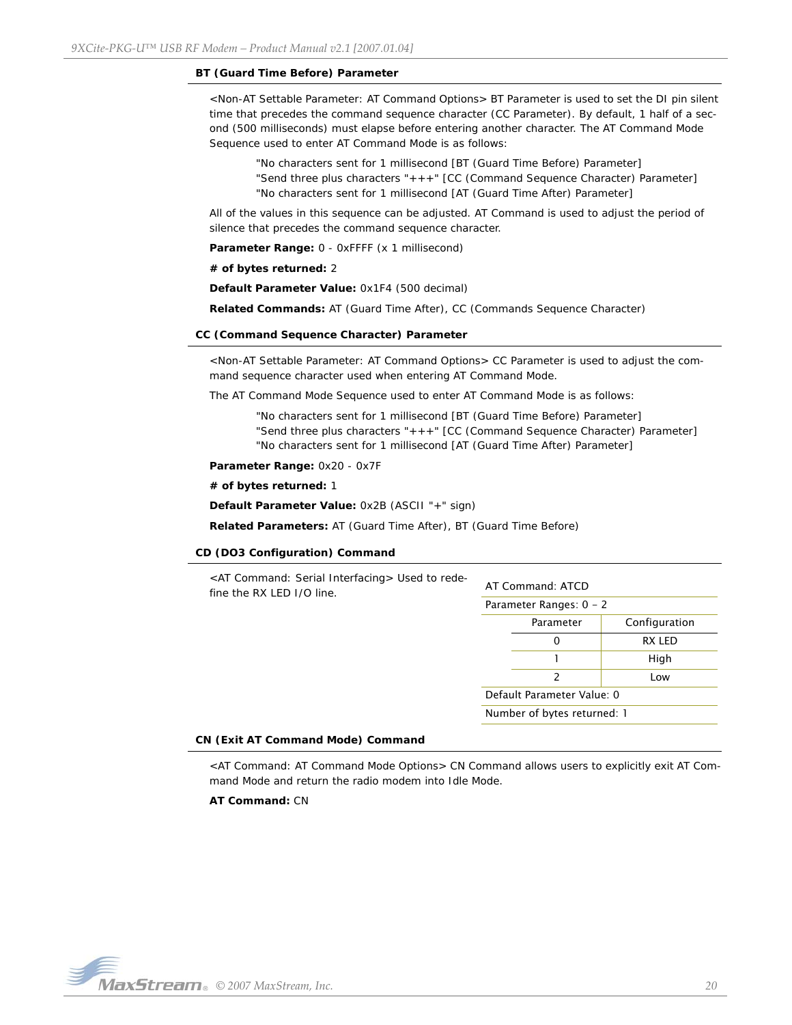#### **BT (Guard Time Before) Parameter**

<Non-AT Settable Parameter: AT Command Options> BT Parameter is used to set the DI pin silent time that precedes the command sequence character (CC Parameter). By default, 1 half of a second (500 milliseconds) must elapse before entering another character. The AT Command Mode Sequence used to enter AT Command Mode is as follows:

"No characters sent for 1 millisecond [BT (Guard Time Before) Parameter] "Send three plus characters "+++" [CC (Command Sequence Character) Parameter] "No characters sent for 1 millisecond [AT (Guard Time After) Parameter]

All of the values in this sequence can be adjusted. AT Command is used to adjust the period of silence that precedes the command sequence character.

**Parameter Range:** 0 - 0xFFFF (x 1 millisecond)

**# of bytes returned:** 2

**Default Parameter Value:** 0x1F4 (500 decimal)

**Related Commands:** AT (Guard Time After), CC (Commands Sequence Character)

#### **CC (Command Sequence Character) Parameter**

<Non-AT Settable Parameter: AT Command Options> CC Parameter is used to adjust the command sequence character used when entering AT Command Mode.

The AT Command Mode Sequence used to enter AT Command Mode is as follows:

"No characters sent for 1 millisecond [BT (Guard Time Before) Parameter] "Send three plus characters "+++" [CC (Command Sequence Character) Parameter] "No characters sent for 1 millisecond [AT (Guard Time After) Parameter]

**Parameter Range:** 0x20 - 0x7F

**# of bytes returned:** 1

**Default Parameter Value:** 0x2B (ASCII "+" sign)

**Related Parameters:** AT (Guard Time After), BT (Guard Time Before)

#### **CD (DO3 Configuration) Command**

| <at command:="" interfacing="" serial=""> Used to rede-<br/>fine the RX LED I/O line.</at> | AT Command: ATCD            |           |               |  |
|--------------------------------------------------------------------------------------------|-----------------------------|-----------|---------------|--|
|                                                                                            | Parameter Ranges: $0 - 2$   |           |               |  |
|                                                                                            |                             | Parameter | Configuration |  |
|                                                                                            |                             | 0         | RX LED        |  |
|                                                                                            |                             |           | High          |  |
|                                                                                            |                             | 2         | Low           |  |
|                                                                                            | Default Parameter Value: 0  |           |               |  |
|                                                                                            | Number of bytes returned: 1 |           |               |  |
|                                                                                            |                             |           |               |  |

#### **CN (Exit AT Command Mode) Command**

<AT Command: AT Command Mode Options> CN Command allows users to explicitly exit AT Command Mode and return the radio modem into Idle Mode.

**AT Command:** CN

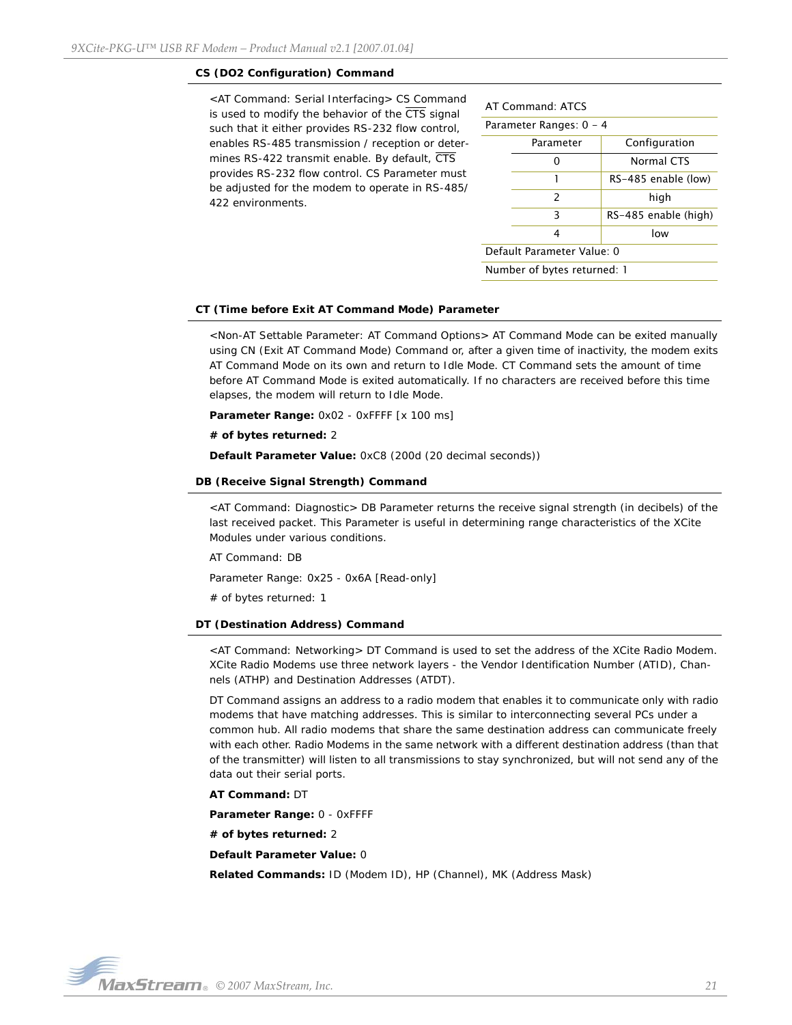#### **CS (DO2 Configuration) Command**

<AT Command: Serial Interfacing> CS Command is used to modify the behavior of the  $\overline{\text{CTS}}$  signal such that it either provides RS-232 flow control, enables RS-485 transmission / reception or determines RS-422 transmit enable. By default, CTS provides RS-232 flow control. CS Parameter must be adjusted for the modem to operate in RS-485/ 422 environments.

| AT Command: ATCS            |                         |  |  |  |
|-----------------------------|-------------------------|--|--|--|
|                             | Parameter Ranges: 0 - 4 |  |  |  |
| Configuration<br>Parameter  |                         |  |  |  |
|                             | <b>Normal CTS</b>       |  |  |  |
| 1<br>RS-485 enable (low)    |                         |  |  |  |
| $\mathcal{P}$               | high                    |  |  |  |
| 3                           | RS-485 enable (high)    |  |  |  |
| low<br>4                    |                         |  |  |  |
| Default Parameter Value: 0  |                         |  |  |  |
| Number of bytes returned: 1 |                         |  |  |  |

#### **CT (Time before Exit AT Command Mode) Parameter**

<Non-AT Settable Parameter: AT Command Options> AT Command Mode can be exited manually using CN (Exit AT Command Mode) Command or, after a given time of inactivity, the modem exits AT Command Mode on its own and return to Idle Mode. CT Command sets the amount of time before AT Command Mode is exited automatically. If no characters are received before this time elapses, the modem will return to Idle Mode.

**Parameter Range:** 0x02 - 0xFFFF [x 100 ms]

**# of bytes returned:** 2

**Default Parameter Value:** 0xC8 (200d (20 decimal seconds))

#### **DB (Receive Signal Strength) Command**

<AT Command: Diagnostic> DB Parameter returns the receive signal strength (in decibels) of the last received packet. This Parameter is useful in determining range characteristics of the XCite Modules under various conditions.

AT Command: DB

Parameter Range: 0x25 - 0x6A [Read-only]

# of bytes returned: 1

#### **DT (Destination Address) Command**

<AT Command: Networking> DT Command is used to set the address of the XCite Radio Modem. XCite Radio Modems use three network layers - the Vendor Identification Number (ATID), Channels (ATHP) and Destination Addresses (ATDT).

DT Command assigns an address to a radio modem that enables it to communicate only with radio modems that have matching addresses. This is similar to interconnecting several PCs under a common hub. All radio modems that share the same destination address can communicate freely with each other. Radio Modems in the same network with a different destination address (than that of the transmitter) will listen to all transmissions to stay synchronized, but will not send any of the data out their serial ports.

#### **AT Command:** DT

**Parameter Range:** 0 - 0xFFFF

**# of bytes returned:** 2

**Default Parameter Value:** 0

**Related Commands:** ID (Modem ID), HP (Channel), MK (Address Mask)

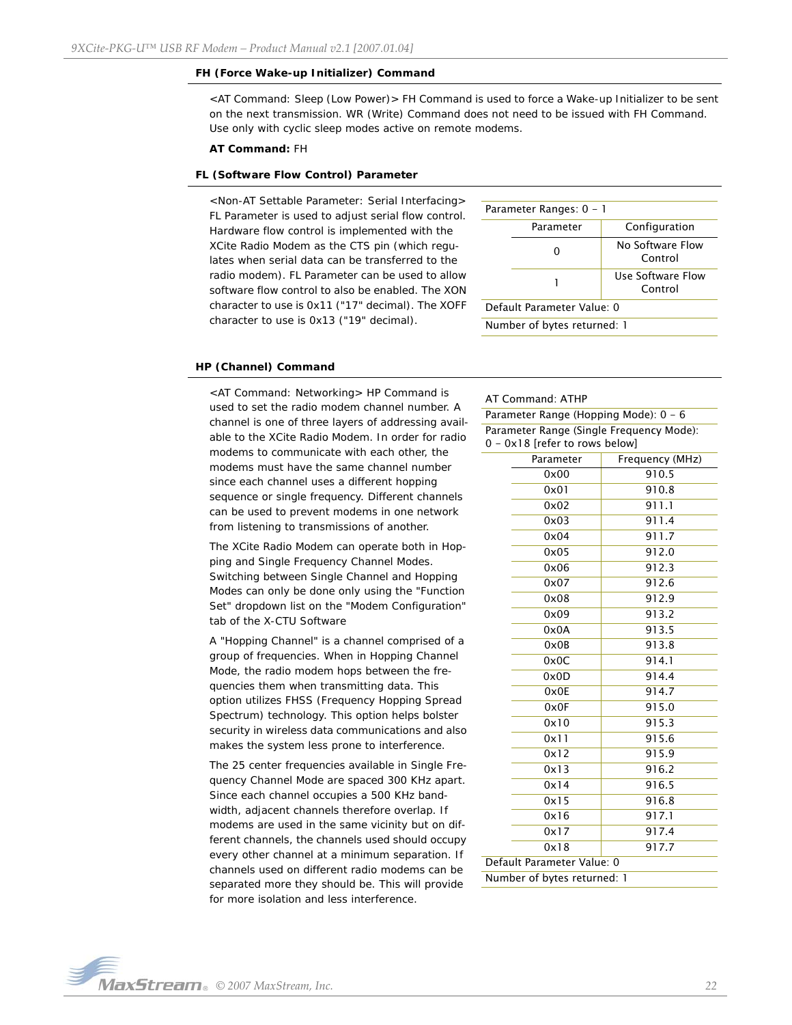#### **FH (Force Wake-up Initializer) Command**

<AT Command: Sleep (Low Power)> FH Command is used to force a Wake-up Initializer to be sent on the next transmission. WR (Write) Command does not need to be issued with FH Command. Use only with cyclic sleep modes active on remote modems.

#### **AT Command:** FH

#### **FL (Software Flow Control) Parameter**

<Non-AT Settable Parameter: Serial Interfacing> FL Parameter is used to adjust serial flow control. Hardware flow control is implemented with the XCite Radio Modem as the CTS pin (which regulates when serial data can be transferred to the radio modem). FL Parameter can be used to allow software flow control to also be enabled. The XON character to use is 0x11 ("17" decimal). The XOFF character to use is 0x13 ("19" decimal).

| Parameter Ranges: 0 - 1     |           |                              |  |  |
|-----------------------------|-----------|------------------------------|--|--|
|                             | Parameter | Configuration                |  |  |
|                             |           | No Software Flow<br>Control  |  |  |
|                             |           | Use Software Flow<br>Control |  |  |
| Default Parameter Value: 0  |           |                              |  |  |
| Number of bytes returned: 1 |           |                              |  |  |

#### **HP (Channel) Command**

<AT Command: Networking> HP Command is used to set the radio modem channel number. A channel is one of three layers of addressing available to the XCite Radio Modem. In order for radio modems to communicate with each other, the modems must have the same channel number since each channel uses a different hopping sequence or single frequency. Different channels can be used to prevent modems in one network from listening to transmissions of another.

The XCite Radio Modem can operate both in Hopping and Single Frequency Channel Modes. Switching between Single Channel and Hopping Modes can only be done only using the "Function Set" dropdown list on the "Modem Configuration" tab of the X-CTU Software

A "Hopping Channel" is a channel comprised of a group of frequencies. When in Hopping Channel Mode, the radio modem hops between the frequencies them when transmitting data. This option utilizes FHSS (Frequency Hopping Spread Spectrum) technology. This option helps bolster security in wireless data communications and also makes the system less prone to interference.

The 25 center frequencies available in Single Frequency Channel Mode are spaced 300 KHz apart. Since each channel occupies a 500 KHz bandwidth, adjacent channels therefore overlap. If modems are used in the same vicinity but on different channels, the channels used should occupy every other channel at a minimum separation. If channels used on different radio modems can be separated more they should be. This will provide for more isolation and less interference.

#### AT Command: ATHP

Parameter Range (Hopping Mode): 0 - 6 Parameter Range (Single Frequency Mode): 0 - 0x18 [refer to rows below]

| Parameter                   | Frequency (MHz) |  |
|-----------------------------|-----------------|--|
| 0x00                        | 910.5           |  |
| 0x01                        | 910.8           |  |
| 0x02                        | 911.1           |  |
| 0x03                        | 911.4           |  |
| 0x04                        | 911.7           |  |
| 0x05                        | 912.0           |  |
| 0x06                        | 912.3           |  |
| 0x07                        | 912.6           |  |
| 0x08                        | 912.9           |  |
| 0x09                        | 913.2           |  |
| 0x0A                        | 913.5           |  |
| 0x0B                        | 913.8           |  |
| 0x0C                        | 914.1           |  |
| 0x0D                        | 914.4           |  |
| 0x0E                        | 914.7           |  |
| 0x0F                        | 915.0           |  |
| 0x10                        | 915.3           |  |
| 0x11                        | 915.6           |  |
| 0x12                        | 915.9           |  |
| 0x13                        | 916.2           |  |
| 0x14                        | 916.5           |  |
| 0x15                        | 916.8           |  |
| 0x16                        | 917.1           |  |
| 0x17                        | 917.4           |  |
| 0x18                        | 917.7           |  |
| Default Parameter Value: 0  |                 |  |
| Number of bytes returned: 1 |                 |  |

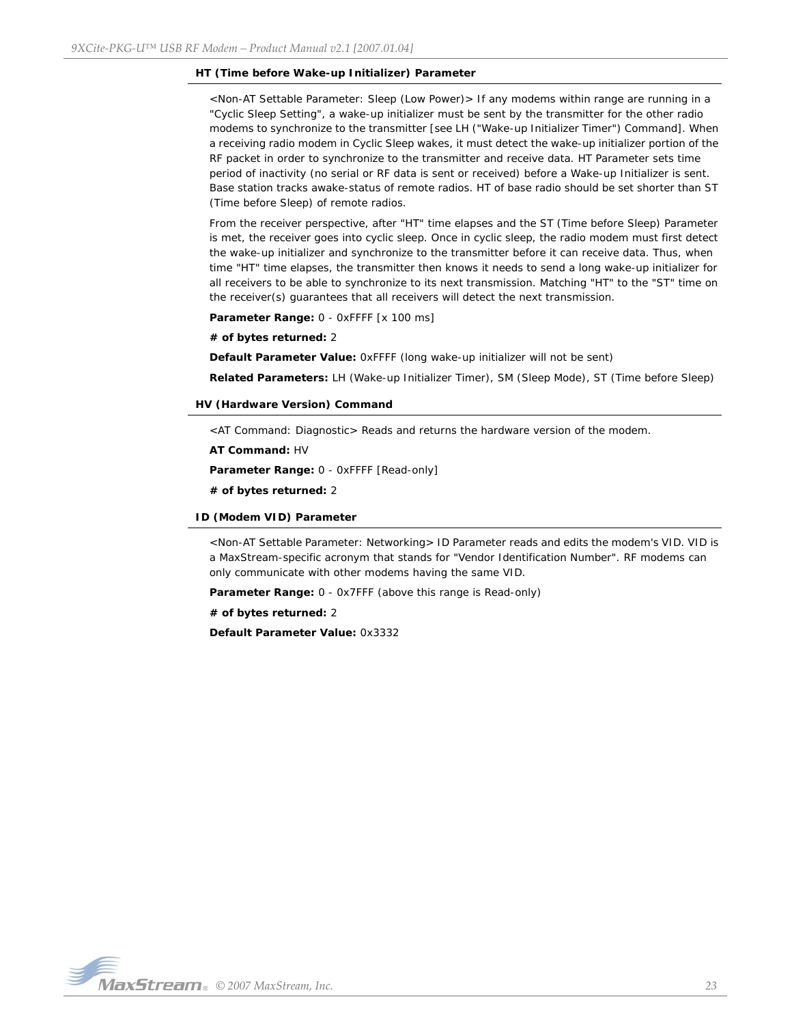#### **HT (Time before Wake-up Initializer) Parameter**

<Non-AT Settable Parameter: Sleep (Low Power)> If any modems within range are running in a "Cyclic Sleep Setting", a wake-up initializer must be sent by the transmitter for the other radio modems to synchronize to the transmitter [see LH ("Wake-up Initializer Timer") Command]. When a receiving radio modem in Cyclic Sleep wakes, it must detect the wake-up initializer portion of the RF packet in order to synchronize to the transmitter and receive data. HT Parameter sets time period of inactivity (no serial or RF data is sent or received) before a Wake-up Initializer is sent. Base station tracks awake-status of remote radios. HT of base radio should be set shorter than ST (Time before Sleep) of remote radios.

From the receiver perspective, after "HT" time elapses and the ST (Time before Sleep) Parameter is met, the receiver goes into cyclic sleep. Once in cyclic sleep, the radio modem must first detect the wake-up initializer and synchronize to the transmitter before it can receive data. Thus, when time "HT" time elapses, the transmitter then knows it needs to send a long wake-up initializer for all receivers to be able to synchronize to its next transmission. Matching "HT" to the "ST" time on the receiver(s) guarantees that all receivers will detect the next transmission.

Parameter Range: 0 - 0xFFFF [x 100 ms]

**# of bytes returned:** 2

**Default Parameter Value:** 0xFFFF (long wake-up initializer will not be sent)

**Related Parameters:** LH (Wake-up Initializer Timer), SM (Sleep Mode), ST (Time before Sleep)

#### **HV (Hardware Version) Command**

<AT Command: Diagnostic> Reads and returns the hardware version of the modem.

**AT Command:** HV

**Parameter Range:** 0 - 0xFFFF [Read-only]

**# of bytes returned:** 2

#### **ID (Modem VID) Parameter**

<Non-AT Settable Parameter: Networking> ID Parameter reads and edits the modem's VID. VID is a MaxStream-specific acronym that stands for "Vendor Identification Number". RF modems can only communicate with other modems having the same VID.

**Parameter Range:** 0 - 0x7FFF (above this range is Read-only)

**# of bytes returned:** 2

**Default Parameter Value:** 0x3332

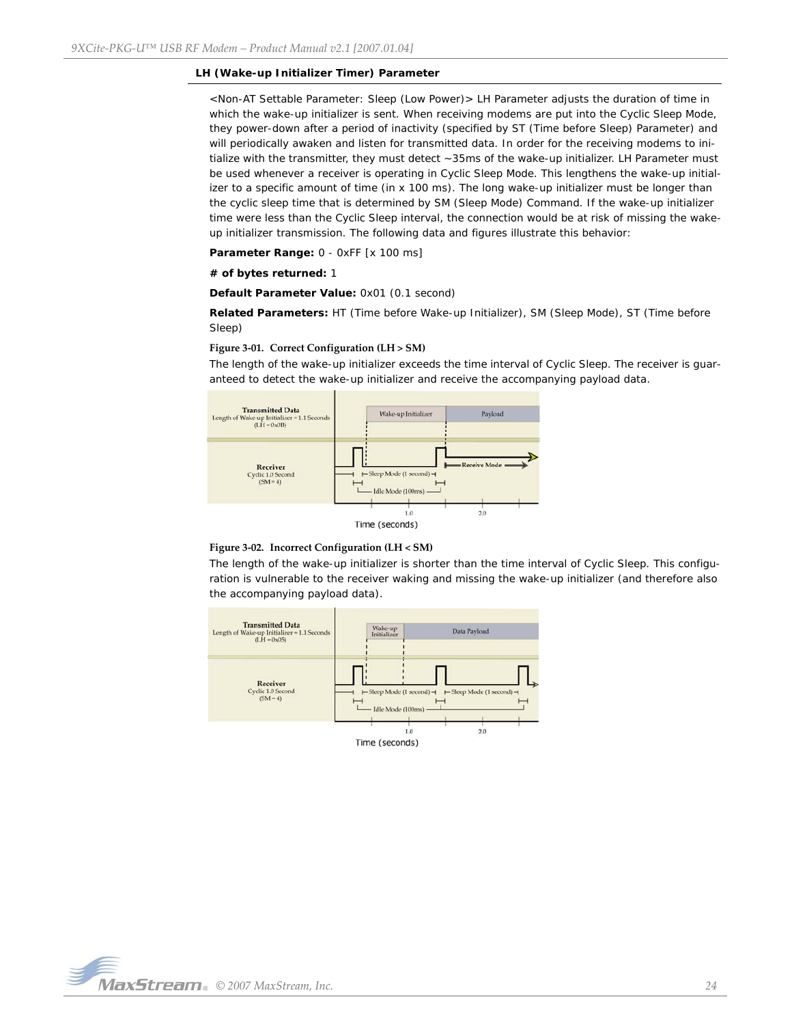#### **LH (Wake-up Initializer Timer) Parameter**

<Non-AT Settable Parameter: Sleep (Low Power)> LH Parameter adjusts the duration of time in which the wake-up initializer is sent. When receiving modems are put into the Cyclic Sleep Mode, they power-down after a period of inactivity (specified by ST (Time before Sleep) Parameter) and will periodically awaken and listen for transmitted data. In order for the receiving modems to initialize with the transmitter, they must detect ~35ms of the wake-up initializer. LH Parameter must be used whenever a receiver is operating in Cyclic Sleep Mode. This lengthens the wake-up initializer to a specific amount of time (in x 100 ms). The long wake-up initializer must be longer than the cyclic sleep time that is determined by SM (Sleep Mode) Command. If the wake-up initializer time were less than the Cyclic Sleep interval, the connection would be at risk of missing the wakeup initializer transmission. The following data and figures illustrate this behavior:

**Parameter Range:** 0 - 0xFF [x 100 ms]

#### **# of bytes returned:** 1

**Default Parameter Value:** 0x01 (0.1 second)

**Related Parameters:** HT (Time before Wake-up Initializer), SM (Sleep Mode), ST (Time before Sleep)

#### **Figure 3‐01. Correct Configuration (LH > SM)**

The length of the wake-up initializer exceeds the time interval of Cyclic Sleep. The receiver is guaranteed to detect the wake-up initializer and receive the accompanying payload data.



#### **Figure 3‐02. Incorrect Configuration (LH < SM)**

The length of the wake-up initializer is shorter than the time interval of Cyclic Sleep. This configuration is vulnerable to the receiver waking and missing the wake-up initializer (and therefore also the accompanying payload data).

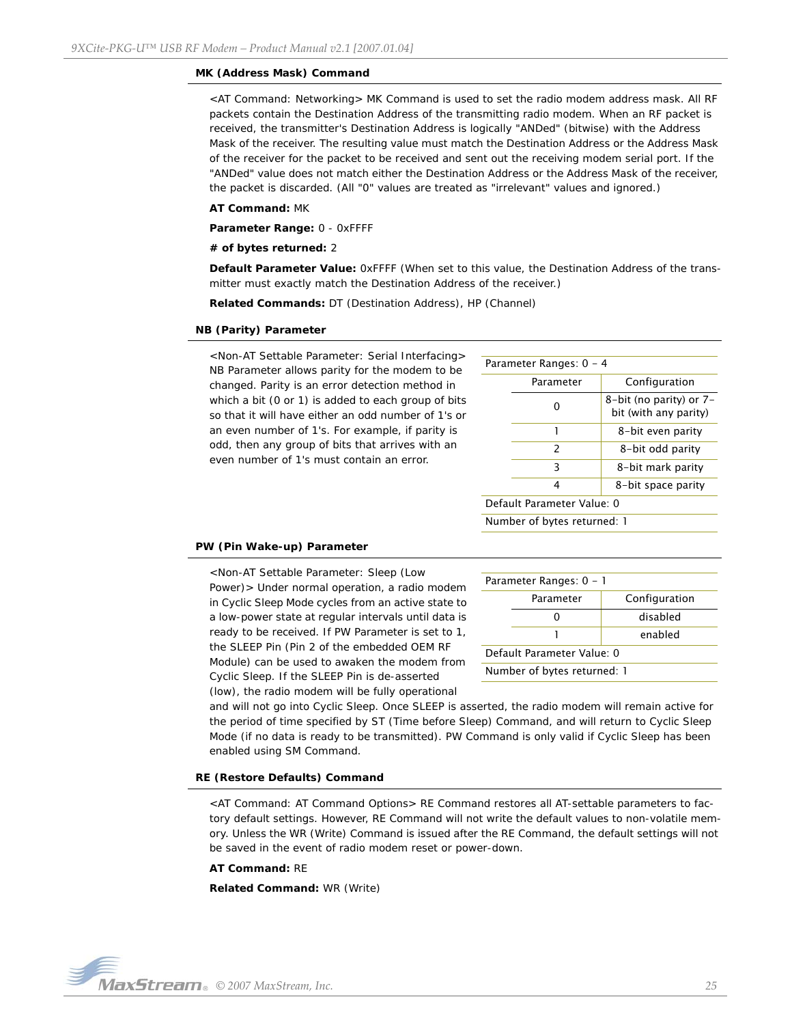#### **MK (Address Mask) Command**

<AT Command: Networking> MK Command is used to set the radio modem address mask. All RF packets contain the Destination Address of the transmitting radio modem. When an RF packet is received, the transmitter's Destination Address is logically "ANDed" (bitwise) with the Address Mask of the receiver. The resulting value must match the Destination Address or the Address Mask of the receiver for the packet to be received and sent out the receiving modem serial port. If the "ANDed" value does not match either the Destination Address or the Address Mask of the receiver, the packet is discarded. (All "0" values are treated as "irrelevant" values and ignored.)

#### **AT Command:** MK

**Parameter Range:** 0 - 0xFFFF

#### **# of bytes returned:** 2

**Default Parameter Value:** 0xFFFF (When set to this value, the Destination Address of the transmitter must exactly match the Destination Address of the receiver.)

**Related Commands:** DT (Destination Address), HP (Channel)

#### **NB (Parity) Parameter**

<Non-AT Settable Parameter: Serial Interfacing> NB Parameter allows parity for the modem to be changed. Parity is an error detection method in which a bit (0 or 1) is added to each group of bits so that it will have either an odd number of 1's or an even number of 1's. For example, if parity is odd, then any group of bits that arrives with an even number of 1's must contain an error.

| Parameter Ranges: 0 - 4 |               |                                                  |
|-------------------------|---------------|--------------------------------------------------|
|                         | Parameter     | Configuration                                    |
|                         | O             | 8-bit (no parity) or 7-<br>bit (with any parity) |
|                         |               | 8-bit even parity                                |
|                         | $\mathcal{P}$ | 8-bit odd parity                                 |
|                         | 3             | 8-bit mark parity                                |
|                         | 4             | 8-bit space parity                               |
|                         |               |                                                  |

Default Parameter Value: 0

Number of bytes returned: 1

## **PW (Pin Wake-up) Parameter**

<Non-AT Settable Parameter: Sleep (Low Power)> Under normal operation, a radio modem in Cyclic Sleep Mode cycles from an active state to a low-power state at regular intervals until data is ready to be received. If PW Parameter is set to 1, the SLEEP Pin (Pin 2 of the embedded OEM RF Module) can be used to awaken the modem from Cyclic Sleep. If the SLEEP Pin is de-asserted (low), the radio modem will be fully operational

| Parameter Ranges: 0 - 1    |           |               |
|----------------------------|-----------|---------------|
|                            | Parameter | Configuration |
|                            |           | disabled      |
| enabled                    |           |               |
| Default Parameter Value: 0 |           |               |

Number of bytes returned: 1

and will not go into Cyclic Sleep. Once SLEEP is asserted, the radio modem will remain active for the period of time specified by ST (Time before Sleep) Command, and will return to Cyclic Sleep Mode (if no data is ready to be transmitted). PW Command is only valid if Cyclic Sleep has been enabled using SM Command.

#### **RE (Restore Defaults) Command**

<AT Command: AT Command Options> RE Command restores all AT-settable parameters to factory default settings. However, RE Command will not write the default values to non-volatile memory. Unless the WR (Write) Command is issued after the RE Command, the default settings will not be saved in the event of radio modem reset or power-down.

#### **AT Command:** RE

**Related Command:** WR (Write)

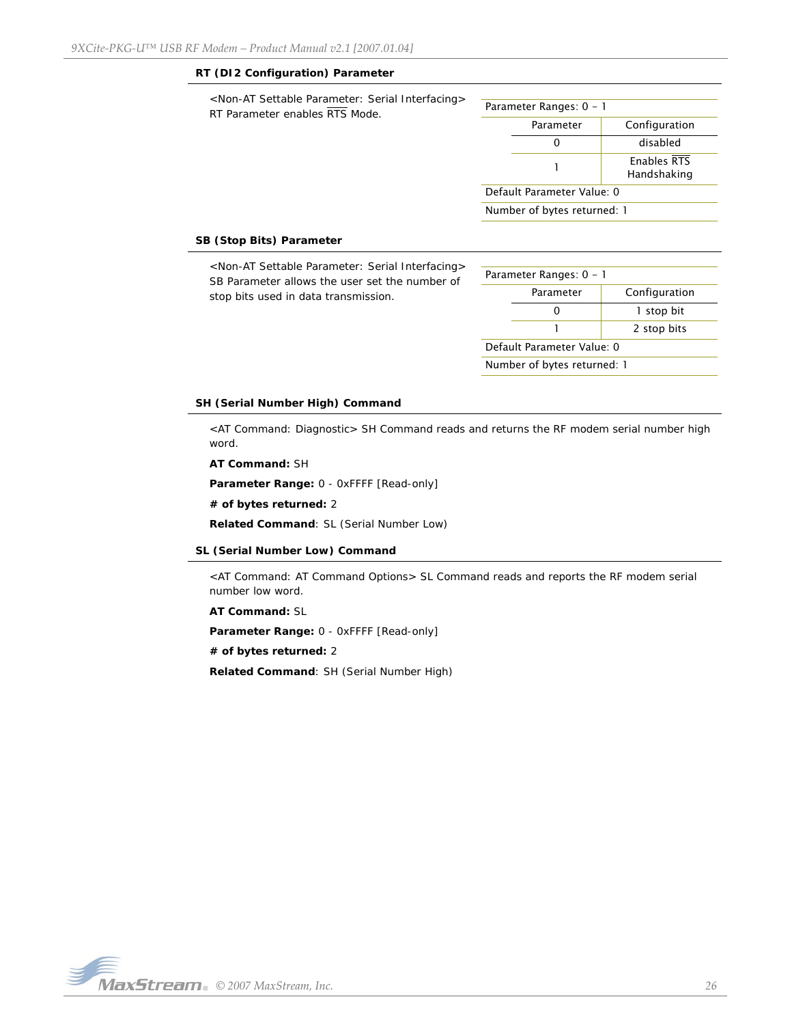### **RT (DI2 Configuration) Parameter**

| <non-at interfacing="" parameter:="" serial="" settable=""><br/>RT Parameter enables RTS Mode.</non-at> | Parameter Ranges: 0 - 1     |           |                            |
|---------------------------------------------------------------------------------------------------------|-----------------------------|-----------|----------------------------|
|                                                                                                         |                             | Parameter | Configuration              |
|                                                                                                         |                             | 0         | disabled                   |
|                                                                                                         |                             |           | Enables RTS<br>Handshaking |
|                                                                                                         | Default Parameter Value: 0  |           |                            |
|                                                                                                         | Number of bytes returned: 1 |           |                            |
|                                                                                                         |                             |           |                            |

## **SB (Stop Bits) Parameter**

| <non-at interfacing="" parameter:="" serial="" settable=""><br/>SB Parameter allows the user set the number of<br/>stop bits used in data transmission.</non-at> | Parameter Ranges: 0 - 1    |                             |               |
|------------------------------------------------------------------------------------------------------------------------------------------------------------------|----------------------------|-----------------------------|---------------|
|                                                                                                                                                                  |                            | Parameter                   | Configuration |
|                                                                                                                                                                  |                            | 0                           | I stop bit    |
|                                                                                                                                                                  |                            |                             | 2 stop bits   |
|                                                                                                                                                                  | Default Parameter Value: 0 |                             |               |
|                                                                                                                                                                  |                            | Number of bytes returned: 1 |               |

#### **SH (Serial Number High) Command**

<AT Command: Diagnostic> SH Command reads and returns the RF modem serial number high word.

**AT Command:** SH

**Parameter Range:** 0 - 0xFFFF [Read-only]

**# of bytes returned:** 2

**Related Command**: SL (Serial Number Low)

#### **SL (Serial Number Low) Command**

<AT Command: AT Command Options> SL Command reads and reports the RF modem serial number low word.

**AT Command:** SL

**Parameter Range:** 0 - 0xFFFF [Read-only]

**# of bytes returned:** 2

**Related Command**: SH (Serial Number High)

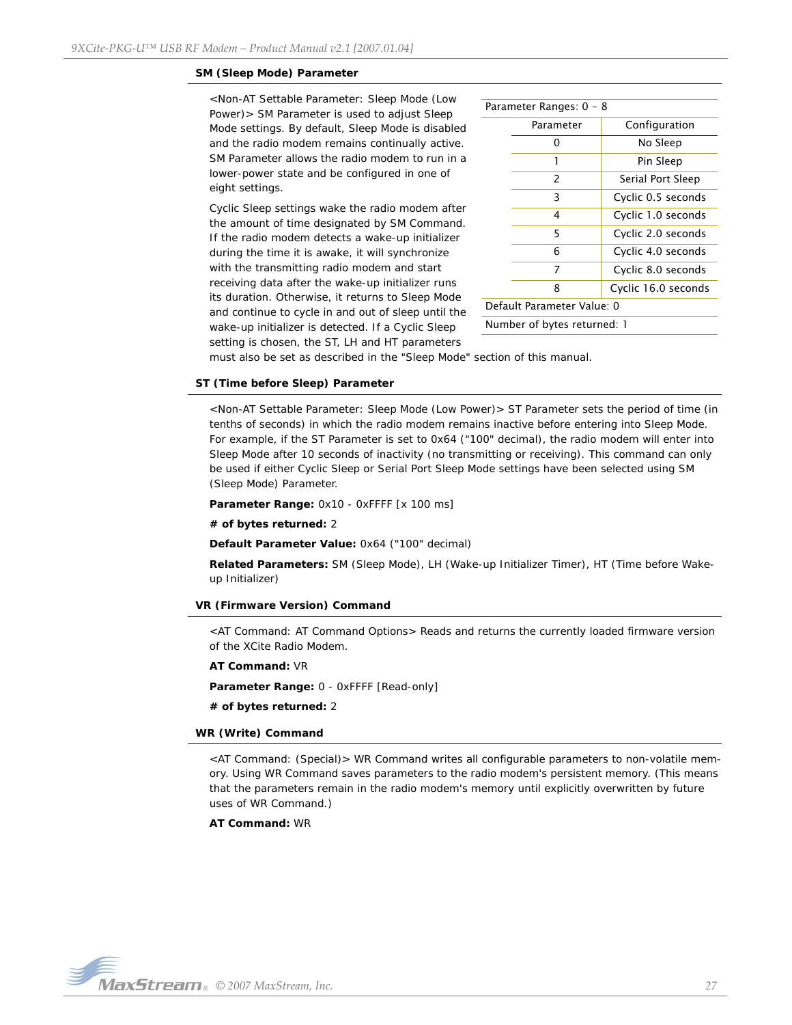#### **SM (Sleep Mode) Parameter**

<Non-AT Settable Parameter: Sleep Mode (Low Power)> SM Parameter is used to adjust Sleep Mode settings. By default, Sleep Mode is disabled and the radio modem remains continually active. SM Parameter allows the radio modem to run in a lower-power state and be configured in one of eight settings.

Cyclic Sleep settings wake the radio modem after the amount of time designated by SM Command. If the radio modem detects a wake-up initializer during the time it is awake, it will synchronize with the transmitting radio modem and start receiving data after the wake-up initializer runs its duration. Otherwise, it returns to Sleep Mode and continue to cycle in and out of sleep until the wake-up initializer is detected. If a Cyclic Sleep setting is chosen, the ST, LH and HT parameters

| Parameter Ranges: 0 - 8     |               |                     |  |
|-----------------------------|---------------|---------------------|--|
|                             | Parameter     | Configuration       |  |
|                             | ი             | No Sleep            |  |
|                             | 1             | Pin Sleep           |  |
|                             | $\mathcal{P}$ | Serial Port Sleep   |  |
|                             | 3             | Cyclic 0.5 seconds  |  |
|                             | 4             | Cyclic 1.0 seconds  |  |
|                             | 5             | Cyclic 2.0 seconds  |  |
|                             | 6             | Cyclic 4.0 seconds  |  |
|                             | 7             | Cyclic 8.0 seconds  |  |
|                             | 8             | Cyclic 16.0 seconds |  |
| Default Parameter Value: 0  |               |                     |  |
| Number of bytes returned: 1 |               |                     |  |

must also be set as described in the "Sleep Mode" section of this manual.

## **ST (Time before Sleep) Parameter**

<Non-AT Settable Parameter: Sleep Mode (Low Power)> ST Parameter sets the period of time (in tenths of seconds) in which the radio modem remains inactive before entering into Sleep Mode. For example, if the ST Parameter is set to 0x64 ("100" decimal), the radio modem will enter into Sleep Mode after 10 seconds of inactivity (no transmitting or receiving). This command can only be used if either Cyclic Sleep or Serial Port Sleep Mode settings have been selected using SM (Sleep Mode) Parameter.

Parameter Range: 0x10 - 0xFFFF [x 100 ms]

#### **# of bytes returned:** 2

**Default Parameter Value:** 0x64 ("100" decimal)

**Related Parameters:** SM (Sleep Mode), LH (Wake-up Initializer Timer), HT (Time before Wakeup Initializer)

#### **VR (Firmware Version) Command**

<AT Command: AT Command Options> Reads and returns the currently loaded firmware version of the XCite Radio Modem.

**AT Command:** VR

**Parameter Range:** 0 - 0xFFFF [Read-only]

**# of bytes returned:** 2

#### **WR (Write) Command**

<AT Command: (Special)> WR Command writes all configurable parameters to non-volatile memory. Using WR Command saves parameters to the radio modem's persistent memory. (This means that the parameters remain in the radio modem's memory until explicitly overwritten by future uses of WR Command.)

**AT Command:** WR

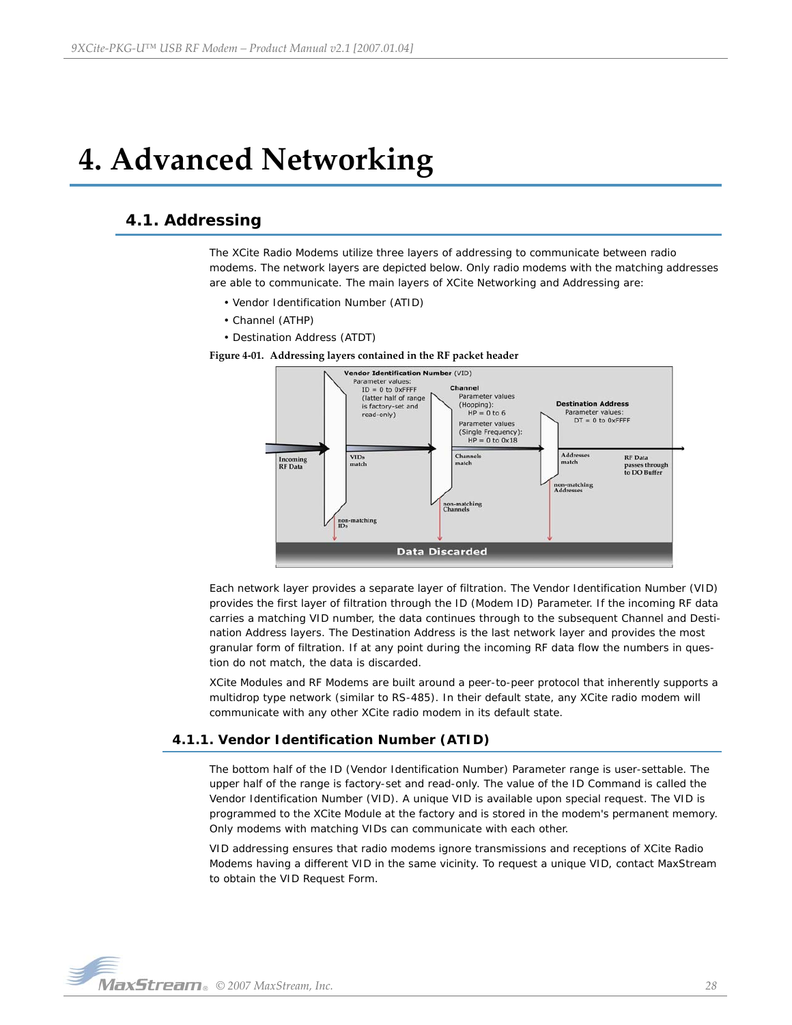# <span id="page-27-0"></span>**4. Advanced Networking**

# <span id="page-27-1"></span>**4.1. Addressing**

The XCite Radio Modems utilize three layers of addressing to communicate between radio modems. The network layers are depicted below. Only radio modems with the matching addresses are able to communicate. The main layers of XCite Networking and Addressing are:

- Vendor Identification Number (ATID)
- Channel (ATHP)
- Destination Address (ATDT)

**Figure 4‐01. Addressing layers contained in the RF packet header**



Each network layer provides a separate layer of filtration. The Vendor Identification Number (VID) provides the first layer of filtration through the ID (Modem ID) Parameter. If the incoming RF data carries a matching VID number, the data continues through to the subsequent Channel and Destination Address layers. The Destination Address is the last network layer and provides the most granular form of filtration. If at any point during the incoming RF data flow the numbers in question do not match, the data is discarded.

XCite Modules and RF Modems are built around a peer-to-peer protocol that inherently supports a multidrop type network (similar to RS-485). In their default state, any XCite radio modem will communicate with any other XCite radio modem in its default state.

### <span id="page-27-2"></span>**4.1.1. Vendor Identification Number (ATID)**

The bottom half of the ID (Vendor Identification Number) Parameter range is user-settable. The upper half of the range is factory-set and read-only. The value of the ID Command is called the Vendor Identification Number (VID). A unique VID is available upon special request. The VID is programmed to the XCite Module at the factory and is stored in the modem's permanent memory. Only modems with matching VIDs can communicate with each other.

VID addressing ensures that radio modems ignore transmissions and receptions of XCite Radio Modems having a different VID in the same vicinity. To request a unique VID, contact MaxStream to obtain the VID Request Form.

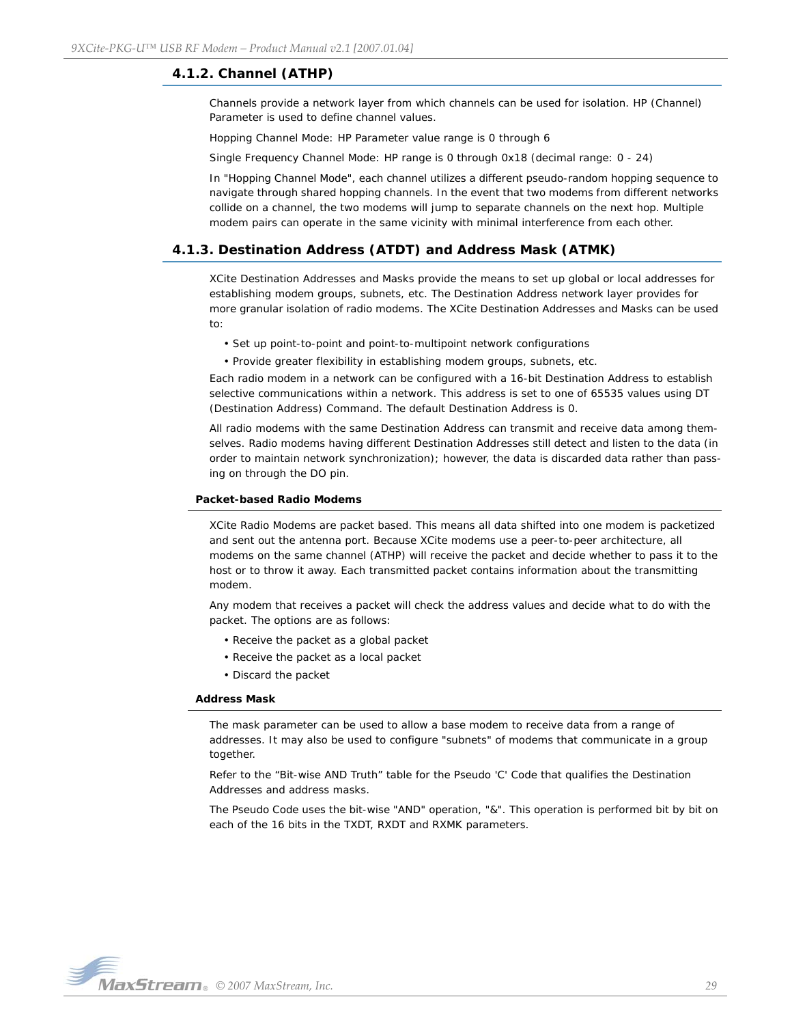## <span id="page-28-0"></span>**4.1.2. Channel (ATHP)**

Channels provide a network layer from which channels can be used for isolation. HP (Channel) Parameter is used to define channel values.

Hopping Channel Mode: HP Parameter value range is 0 through 6

Single Frequency Channel Mode: HP range is 0 through 0x18 (decimal range: 0 - 24)

In "Hopping Channel Mode", each channel utilizes a different pseudo-random hopping sequence to navigate through shared hopping channels. In the event that two modems from different networks collide on a channel, the two modems will jump to separate channels on the next hop. Multiple modem pairs can operate in the same vicinity with minimal interference from each other.

## <span id="page-28-1"></span>**4.1.3. Destination Address (ATDT) and Address Mask (ATMK)**

XCite Destination Addresses and Masks provide the means to set up global or local addresses for establishing modem groups, subnets, etc. The Destination Address network layer provides for more granular isolation of radio modems. The XCite Destination Addresses and Masks can be used to:

• Set up point-to-point and point-to-multipoint network configurations

• Provide greater flexibility in establishing modem groups, subnets, etc.

Each radio modem in a network can be configured with a 16-bit Destination Address to establish selective communications within a network. This address is set to one of 65535 values using DT (Destination Address) Command. The default Destination Address is 0.

All radio modems with the same Destination Address can transmit and receive data among themselves. Radio modems having different Destination Addresses still detect and listen to the data (in order to maintain network synchronization); however, the data is discarded data rather than passing on through the DO pin.

#### **Packet-based Radio Modems**

XCite Radio Modems are packet based. This means all data shifted into one modem is packetized and sent out the antenna port. Because XCite modems use a peer-to-peer architecture, all modems on the same channel (ATHP) will receive the packet and decide whether to pass it to the host or to throw it away. Each transmitted packet contains information about the transmitting modem.

Any modem that receives a packet will check the address values and decide what to do with the packet. The options are as follows:

- Receive the packet as a global packet
- Receive the packet as a local packet
- Discard the packet

#### **Address Mask**

The mask parameter can be used to allow a base modem to receive data from a range of addresses. It may also be used to configure "subnets" of modems that communicate in a group together.

Refer to the "Bit-wise AND Truth" table for the Pseudo 'C' Code that qualifies the Destination Addresses and address masks.

The Pseudo Code uses the bit-wise "AND" operation, "&". This operation is performed bit by bit on each of the 16 bits in the TXDT, RXDT and RXMK parameters.

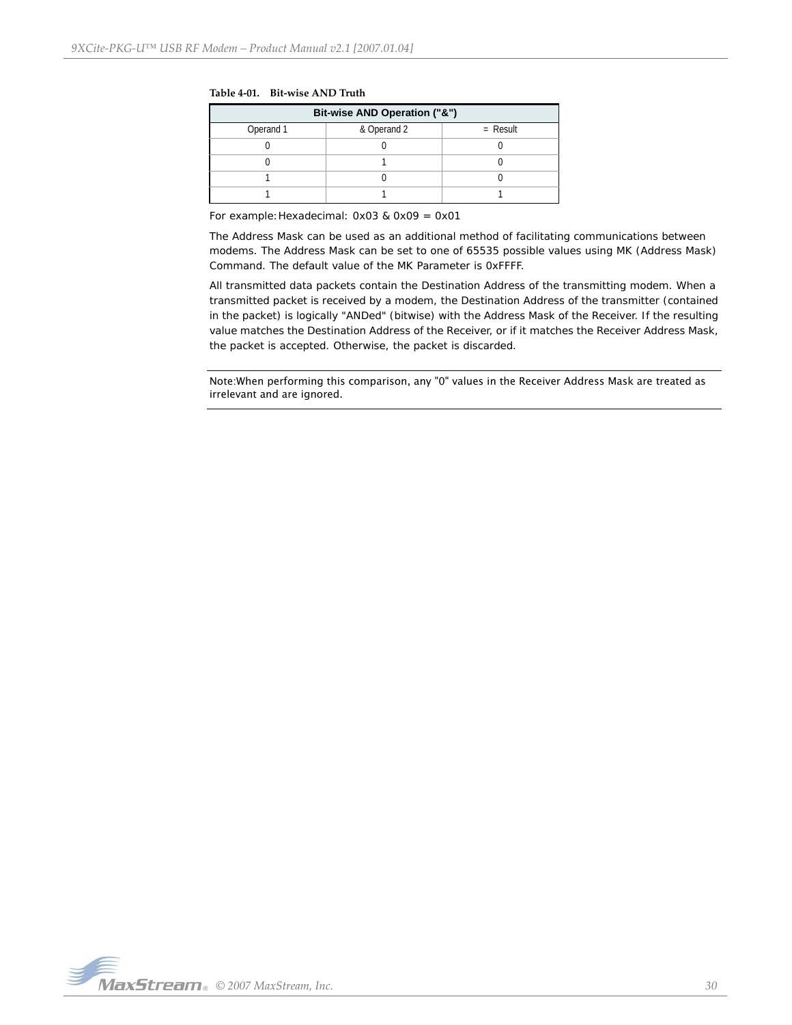|  | Table 4-01. Bit-wise AND Truth |
|--|--------------------------------|
|--|--------------------------------|

| Bit-wise AND Operation ("&") |             |            |  |
|------------------------------|-------------|------------|--|
| Operand 1                    | & Operand 2 | $=$ Result |  |
|                              |             |            |  |
|                              |             |            |  |
|                              |             |            |  |
|                              |             |            |  |

For example:Hexadecimal: 0x03 & 0x09 = 0x01

The Address Mask can be used as an additional method of facilitating communications between modems. The Address Mask can be set to one of 65535 possible values using MK (Address Mask) Command. The default value of the MK Parameter is 0xFFFF.

All transmitted data packets contain the Destination Address of the transmitting modem. When a transmitted packet is received by a modem, the Destination Address of the transmitter (contained in the packet) is logically "ANDed" (bitwise) with the Address Mask of the Receiver. If the resulting value matches the Destination Address of the Receiver, or if it matches the Receiver Address Mask, the packet is accepted. Otherwise, the packet is discarded.

Note:When performing this comparison, any "0" values in the Receiver Address Mask are treated as irrelevant and are ignored.

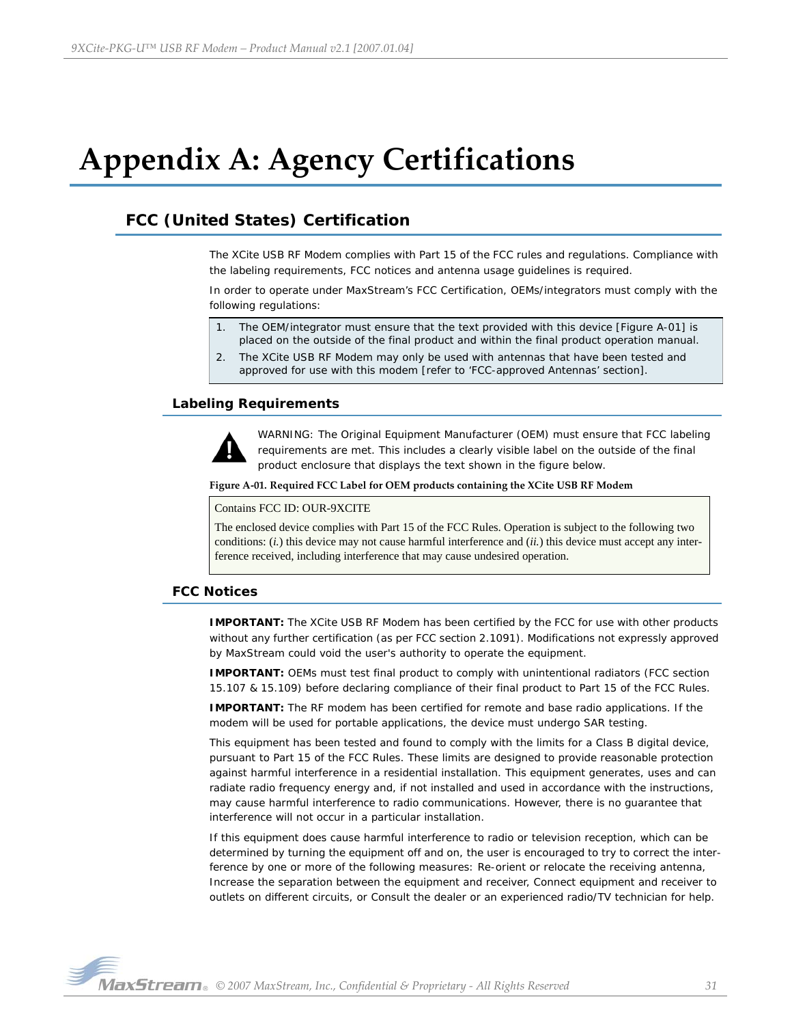# <span id="page-30-0"></span>**Appendix A: Agency Certifications**

# <span id="page-30-1"></span>**FCC (United States) Certification**

The XCite USB RF Modem complies with Part 15 of the FCC rules and regulations. Compliance with the labeling requirements, FCC notices and antenna usage guidelines is required.

In order to operate under MaxStream's FCC Certification, OEMs/integrators must comply with the following regulations:

- 1. The OEM/integrator must ensure that the text provided with this device [Figure A-01] is placed on the outside of the final product and within the final product operation manual.
- 2. The XCite USB RF Modem may only be used with antennas that have been tested and approved for use with this modem [refer to 'FCC-approved Antennas' section].

## <span id="page-30-2"></span>**Labeling Requirements**



WARNING: The Original Equipment Manufacturer (OEM) must ensure that FCC labeling requirements are met. This includes a clearly visible label on the outside of the final product enclosure that displays the text shown in the figure below.

#### **Figure A‐01. Required FCC Label for OEM products containing the XCite USB RF Modem**

#### Contains FCC ID: OUR-9XCITE

The enclosed device complies with Part 15 of the FCC Rules. Operation is subject to the following two conditions: (*i.*) this device may not cause harmful interference and (*ii.*) this device must accept any interference received, including interference that may cause undesired operation.

## <span id="page-30-3"></span>**FCC Notices**

**IMPORTANT:** The XCite USB RF Modem has been certified by the FCC for use with other products without any further certification (as per FCC section 2.1091). Modifications not expressly approved by MaxStream could void the user's authority to operate the equipment.

**IMPORTANT:** OEMs must test final product to comply with unintentional radiators (FCC section 15.107 & 15.109) before declaring compliance of their final product to Part 15 of the FCC Rules.

**IMPORTANT:** The RF modem has been certified for remote and base radio applications. If the modem will be used for portable applications, the device must undergo SAR testing.

This equipment has been tested and found to comply with the limits for a Class B digital device, pursuant to Part 15 of the FCC Rules. These limits are designed to provide reasonable protection against harmful interference in a residential installation. This equipment generates, uses and can radiate radio frequency energy and, if not installed and used in accordance with the instructions, may cause harmful interference to radio communications. However, there is no guarantee that interference will not occur in a particular installation.

If this equipment does cause harmful interference to radio or television reception, which can be determined by turning the equipment off and on, the user is encouraged to try to correct the interference by one or more of the following measures: Re-orient or relocate the receiving antenna, Increase the separation between the equipment and receiver, Connect equipment and receiver to outlets on different circuits, or Consult the dealer or an experienced radio/TV technician for help.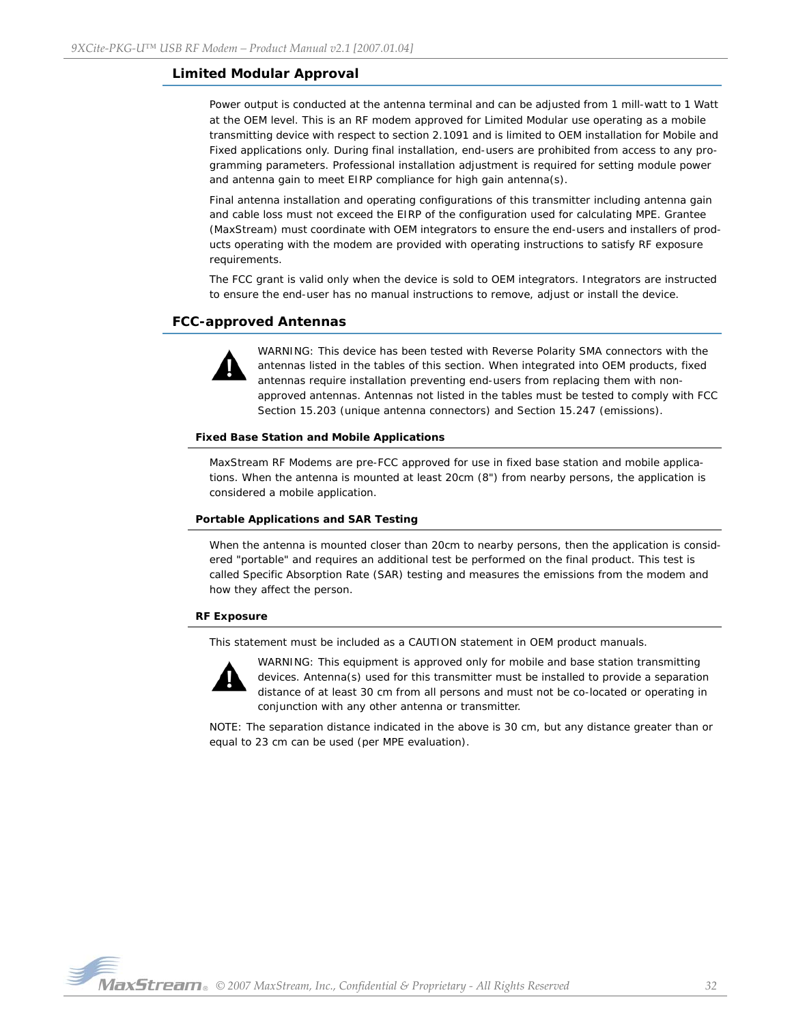## <span id="page-31-0"></span>**Limited Modular Approval**

Power output is conducted at the antenna terminal and can be adjusted from 1 mill-watt to 1 Watt at the OEM level. This is an RF modem approved for Limited Modular use operating as a mobile transmitting device with respect to section 2.1091 and is limited to OEM installation for Mobile and Fixed applications only. During final installation, end-users are prohibited from access to any programming parameters. Professional installation adjustment is required for setting module power and antenna gain to meet EIRP compliance for high gain antenna(s).

Final antenna installation and operating configurations of this transmitter including antenna gain and cable loss must not exceed the EIRP of the configuration used for calculating MPE. Grantee (MaxStream) must coordinate with OEM integrators to ensure the end-users and installers of products operating with the modem are provided with operating instructions to satisfy RF exposure requirements.

The FCC grant is valid only when the device is sold to OEM integrators. Integrators are instructed to ensure the end-user has no manual instructions to remove, adjust or install the device.

## <span id="page-31-1"></span>**FCC-approved Antennas**



WARNING: This device has been tested with Reverse Polarity SMA connectors with the antennas listed in the tables of this section. When integrated into OEM products, fixed antennas require installation preventing end-users from replacing them with nonapproved antennas. Antennas not listed in the tables must be tested to comply with FCC Section 15.203 (unique antenna connectors) and Section 15.247 (emissions).

#### **Fixed Base Station and Mobile Applications**

MaxStream RF Modems are pre-FCC approved for use in fixed base station and mobile applications. When the antenna is mounted at least 20cm (8") from nearby persons, the application is considered a mobile application.

#### **Portable Applications and SAR Testing**

When the antenna is mounted closer than 20cm to nearby persons, then the application is considered "portable" and requires an additional test be performed on the final product. This test is called Specific Absorption Rate (SAR) testing and measures the emissions from the modem and how they affect the person.

#### **RF Exposure**

This statement must be included as a CAUTION statement in OEM product manuals.



WARNING: This equipment is approved only for mobile and base station transmitting devices. Antenna(s) used for this transmitter must be installed to provide a separation distance of at least 30 cm from all persons and must not be co-located or operating in conjunction with any other antenna or transmitter.

NOTE: The separation distance indicated in the above is 30 cm, but any distance greater than or equal to 23 cm can be used (per MPE evaluation).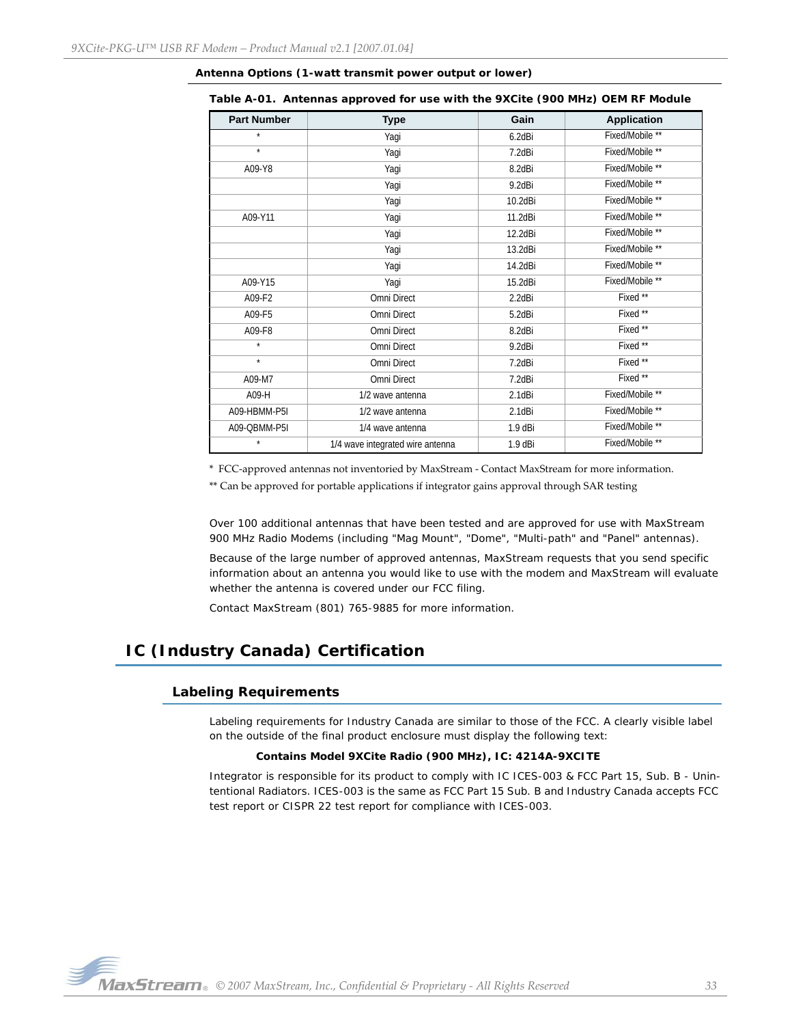| <b>Part Number</b> | <b>Type</b>                      | Gain         | <b>Application</b> |
|--------------------|----------------------------------|--------------|--------------------|
| $\star$            | Yagi                             | 6.2dBi       | Fixed/Mobile **    |
| $\star$            | Yaqi                             | 7.2dBi       | Fixed/Mobile **    |
| A09-Y8             | Yagi                             | 8.2dBi       | Fixed/Mobile **    |
|                    | Yagi                             | 9.2dBi       | Fixed/Mobile **    |
|                    | Yagi                             | 10.2dBi      | Fixed/Mobile **    |
| A09-Y11            | Yagi                             | 11.2dBi      | Fixed/Mobile **    |
|                    | Yagi                             | 12.2dBi      | Fixed/Mobile **    |
|                    | Yagi                             | 13.2dBi      | Fixed/Mobile **    |
|                    | Yagi                             | 14.2dBi      | Fixed/Mobile **    |
| A09-Y15            | Yagi                             | 15.2dBi      | Fixed/Mobile **    |
| A09-F2             | Omni Direct                      | 2.2dBi       | Fixed **           |
| A09-F5             | Omni Direct                      | 5.2dBi       | Fixed **           |
| A09-F8             | Omni Direct                      | 8.2dBi       | Fixed **           |
| $\star$            | Omni Direct                      | 9.2dBi       | Fixed **           |
| $\star$            | Omni Direct                      | 7.2dBi       | Fixed **           |
| A09-M7             | Omni Direct                      | 7.2dBi       | Fixed **           |
| A09-H              | 1/2 wave antenna                 | $2.1$ d $Bi$ | Fixed/Mobile **    |
| A09-HBMM-P5I       | 1/2 wave antenna                 | 2.1dBi       | Fixed/Mobile **    |
| A09-QBMM-P5I       | 1/4 wave antenna                 | $1.9$ dBi    | Fixed/Mobile **    |
| $\star$            | 1/4 wave integrated wire antenna | 1.9 dBi      | Fixed/Mobile **    |

#### **Antenna Options (1-watt transmit power output or lower)**

**Table A-01. Antennas approved for use with the 9XCite (900 MHz) OEM RF Module**

\* FCC‐approved antennas not inventoried by MaxStream ‐ Contact MaxStream for more information.

\*\* Can be approved for portable applications if integrator gains approval through SAR testing

Over 100 additional antennas that have been tested and are approved for use with MaxStream 900 MHz Radio Modems (including "Mag Mount", "Dome", "Multi-path" and "Panel" antennas).

Because of the large number of approved antennas, MaxStream requests that you send specific information about an antenna you would like to use with the modem and MaxStream will evaluate whether the antenna is covered under our FCC filing.

Contact MaxStream (801) 765-9885 for more information.

# <span id="page-32-1"></span><span id="page-32-0"></span>**IC (Industry Canada) Certification**

### **Labeling Requirements**

Labeling requirements for Industry Canada are similar to those of the FCC. A clearly visible label on the outside of the final product enclosure must display the following text:

#### **Contains Model 9XCite Radio (900 MHz), IC: 4214A-9XCITE**

Integrator is responsible for its product to comply with IC ICES-003 & FCC Part 15, Sub. B - Unintentional Radiators. ICES-003 is the same as FCC Part 15 Sub. B and Industry Canada accepts FCC test report or CISPR 22 test report for compliance with ICES-003.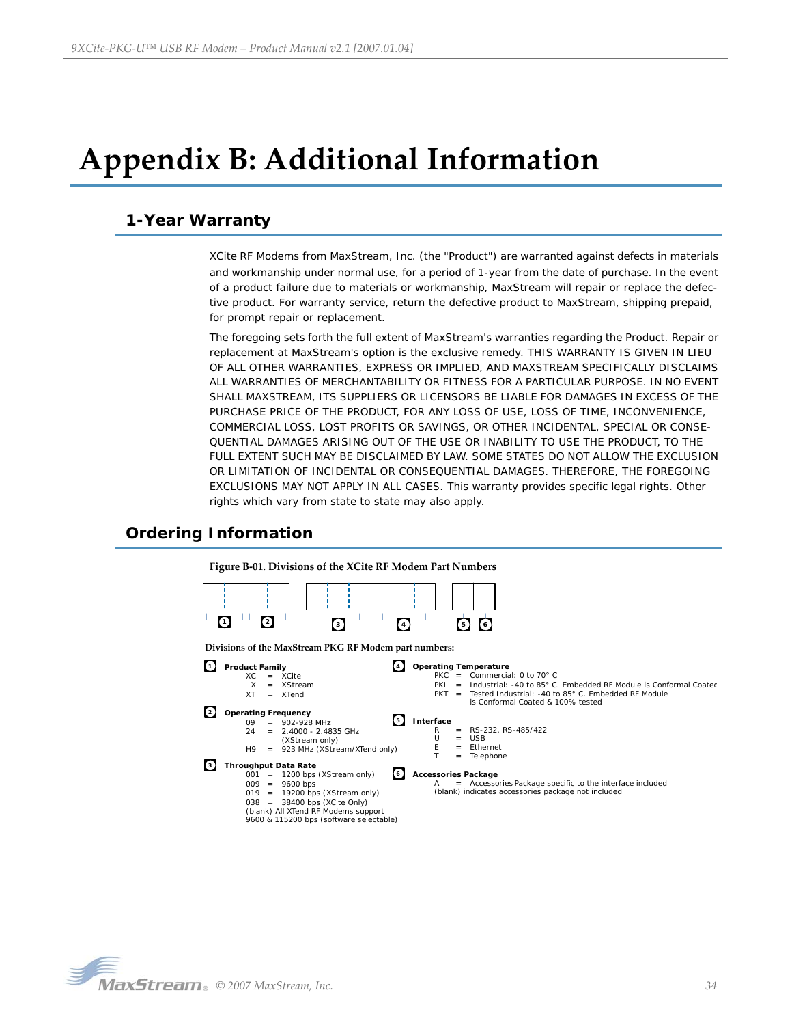# <span id="page-33-0"></span>**Appendix B: Additional Information**

# <span id="page-33-1"></span>**1-Year Warranty**

XCite RF Modems from MaxStream, Inc. (the "Product") are warranted against defects in materials and workmanship under normal use, for a period of 1-year from the date of purchase. In the event of a product failure due to materials or workmanship, MaxStream will repair or replace the defective product. For warranty service, return the defective product to MaxStream, shipping prepaid, for prompt repair or replacement.

The foregoing sets forth the full extent of MaxStream's warranties regarding the Product. Repair or replacement at MaxStream's option is the exclusive remedy. THIS WARRANTY IS GIVEN IN LIEU OF ALL OTHER WARRANTIES, EXPRESS OR IMPLIED, AND MAXSTREAM SPECIFICALLY DISCLAIMS ALL WARRANTIES OF MERCHANTABILITY OR FITNESS FOR A PARTICULAR PURPOSE. IN NO EVENT SHALL MAXSTREAM, ITS SUPPLIERS OR LICENSORS BE LIABLE FOR DAMAGES IN EXCESS OF THE PURCHASE PRICE OF THE PRODUCT, FOR ANY LOSS OF USE, LOSS OF TIME, INCONVENIENCE, COMMERCIAL LOSS, LOST PROFITS OR SAVINGS, OR OTHER INCIDENTAL, SPECIAL OR CONSE-QUENTIAL DAMAGES ARISING OUT OF THE USE OR INABILITY TO USE THE PRODUCT, TO THE FULL EXTENT SUCH MAY BE DISCLAIMED BY LAW. SOME STATES DO NOT ALLOW THE EXCLUSION OR LIMITATION OF INCIDENTAL OR CONSEQUENTIAL DAMAGES. THEREFORE, THE FOREGOING EXCLUSIONS MAY NOT APPLY IN ALL CASES. This warranty provides specific legal rights. Other rights which vary from state to state may also apply.

# <span id="page-33-2"></span>**Ordering Information**

**Figure B‐01. Divisions of the XCite RF Modem Part Numbers 3 4 5 6 1 2 Interface 5**  $R = RS-232, RS-485/422$ <br>U = USB  $U = USB$ <br>E = Ether Ethernet Telephone **Operating Temperature 4** PKC = Commercial: 0 to 70 $^{\circ}$  C<br>PKI = Industrial: -40 to 85 $^{\circ}$  C PKI = Industrial: -40 to 85° C. Embedded RF Module is Conformal Coated PKT = Tested Industrial: -40 to 85° C. Embedded RF Module is Conformal Coated & 100% tested **Accessories Package 6** Accessories Package specific to the interface included (blank) indicates accessories package not included **Product Family 1**  $XC = XCite$  $X = XStream$ <br> $XT = XTend$ XTend **Operating Frequency 2**  $09 = 902-928 \text{ MHz}$ <br> $24 = 2.4000 - 2.48$ 2.4000 - 2.4835 GHz (XStream only) H9 = 923 MHz (XStream/XTend only) **Throughput Data Rate 3** 001 = 1200 bps (XStream only) 009 = 9600 bps  $019 = 19200$  bps (XStream only) 038 = 38400 bps (XCite Only) (blank) All XTend RF Modems support 9600 & 115200 bps (software selectable) **Divisions of the MaxStream PKG RF Modem part numbers:**